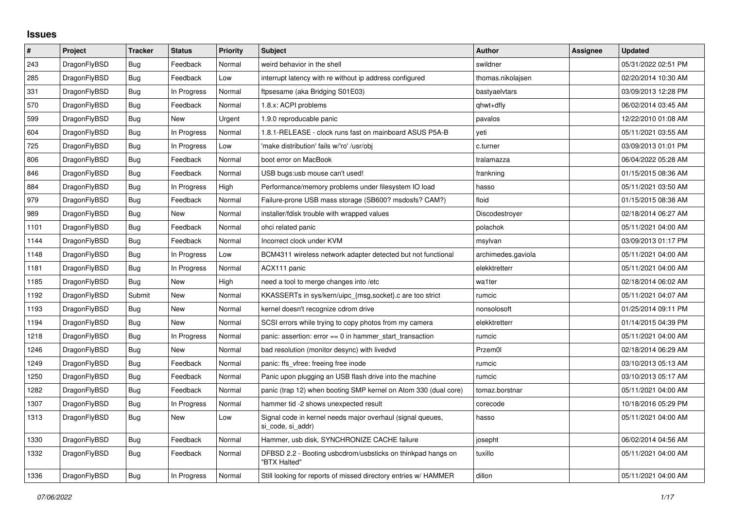## **Issues**

| $\pmb{\sharp}$ | Project      | <b>Tracker</b> | <b>Status</b> | <b>Priority</b> | <b>Subject</b>                                                                  | <b>Author</b>      | Assignee | <b>Updated</b>      |
|----------------|--------------|----------------|---------------|-----------------|---------------------------------------------------------------------------------|--------------------|----------|---------------------|
| 243            | DragonFlyBSD | Bug            | Feedback      | Normal          | weird behavior in the shell                                                     | swildner           |          | 05/31/2022 02:51 PM |
| 285            | DragonFlyBSD | <b>Bug</b>     | Feedback      | Low             | interrupt latency with re without ip address configured                         | thomas.nikolajsen  |          | 02/20/2014 10:30 AM |
| 331            | DragonFlyBSD | <b>Bug</b>     | In Progress   | Normal          | ftpsesame (aka Bridging S01E03)                                                 | bastyaelvtars      |          | 03/09/2013 12:28 PM |
| 570            | DragonFlyBSD | <b>Bug</b>     | Feedback      | Normal          | 1.8.x: ACPI problems                                                            | qhwt+dfly          |          | 06/02/2014 03:45 AM |
| 599            | DragonFlyBSD | <b>Bug</b>     | New           | Urgent          | 1.9.0 reproducable panic                                                        | pavalos            |          | 12/22/2010 01:08 AM |
| 604            | DragonFlyBSD | Bug            | In Progress   | Normal          | 1.8.1-RELEASE - clock runs fast on mainboard ASUS P5A-B                         | yeti               |          | 05/11/2021 03:55 AM |
| 725            | DragonFlyBSD | Bug            | In Progress   | Low             | 'make distribution' fails w/'ro' /usr/obj                                       | c.turner           |          | 03/09/2013 01:01 PM |
| 806            | DragonFlyBSD | Bug            | Feedback      | Normal          | boot error on MacBook                                                           | tralamazza         |          | 06/04/2022 05:28 AM |
| 846            | DragonFlyBSD | Bug            | Feedback      | Normal          | USB bugs:usb mouse can't used!                                                  | frankning          |          | 01/15/2015 08:36 AM |
| 884            | DragonFlyBSD | Bug            | In Progress   | High            | Performance/memory problems under filesystem IO load                            | hasso              |          | 05/11/2021 03:50 AM |
| 979            | DragonFlyBSD | Bug            | Feedback      | Normal          | Failure-prone USB mass storage (SB600? msdosfs? CAM?)                           | floid              |          | 01/15/2015 08:38 AM |
| 989            | DragonFlyBSD | Bug            | New           | Normal          | installer/fdisk trouble with wrapped values                                     | Discodestroyer     |          | 02/18/2014 06:27 AM |
| 1101           | DragonFlyBSD | <b>Bug</b>     | Feedback      | Normal          | ohci related panic                                                              | polachok           |          | 05/11/2021 04:00 AM |
| 1144           | DragonFlyBSD | <b>Bug</b>     | Feedback      | Normal          | Incorrect clock under KVM                                                       | msylvan            |          | 03/09/2013 01:17 PM |
| 1148           | DragonFlyBSD | Bug            | In Progress   | Low             | BCM4311 wireless network adapter detected but not functional                    | archimedes.gaviola |          | 05/11/2021 04:00 AM |
| 1181           | DragonFlyBSD | Bug            | In Progress   | Normal          | ACX111 panic                                                                    | elekktretterr      |          | 05/11/2021 04:00 AM |
| 1185           | DragonFlyBSD | <b>Bug</b>     | <b>New</b>    | High            | need a tool to merge changes into /etc                                          | wa1ter             |          | 02/18/2014 06:02 AM |
| 1192           | DragonFlyBSD | Submit         | <b>New</b>    | Normal          | KKASSERTs in sys/kern/uipc {msg,socket} c are too strict                        | rumcic             |          | 05/11/2021 04:07 AM |
| 1193           | DragonFlyBSD | Bug            | <b>New</b>    | Normal          | kernel doesn't recognize cdrom drive                                            | nonsolosoft        |          | 01/25/2014 09:11 PM |
| 1194           | DragonFlyBSD | <b>Bug</b>     | New           | Normal          | SCSI errors while trying to copy photos from my camera                          | elekktretterr      |          | 01/14/2015 04:39 PM |
| 1218           | DragonFlyBSD | <b>Bug</b>     | In Progress   | Normal          | panic: assertion: error == 0 in hammer_start_transaction                        | rumcic             |          | 05/11/2021 04:00 AM |
| 1246           | DragonFlyBSD | Bug            | New           | Normal          | bad resolution (monitor desync) with livedvd                                    | Przem0l            |          | 02/18/2014 06:29 AM |
| 1249           | DragonFlyBSD | <b>Bug</b>     | Feedback      | Normal          | panic: ffs vfree: freeing free inode                                            | rumcic             |          | 03/10/2013 05:13 AM |
| 1250           | DragonFlyBSD | <b>Bug</b>     | Feedback      | Normal          | Panic upon plugging an USB flash drive into the machine                         | rumcic             |          | 03/10/2013 05:17 AM |
| 1282           | DragonFlyBSD | <b>Bug</b>     | Feedback      | Normal          | panic (trap 12) when booting SMP kernel on Atom 330 (dual core)                 | tomaz.borstnar     |          | 05/11/2021 04:00 AM |
| 1307           | DragonFlyBSD | Bug            | In Progress   | Normal          | hammer tid -2 shows unexpected result                                           | corecode           |          | 10/18/2016 05:29 PM |
| 1313           | DragonFlyBSD | <b>Bug</b>     | New           | Low             | Signal code in kernel needs major overhaul (signal queues,<br>si code, si addr) | hasso              |          | 05/11/2021 04:00 AM |
| 1330           | DragonFlyBSD | <b>Bug</b>     | Feedback      | Normal          | Hammer, usb disk, SYNCHRONIZE CACHE failure                                     | josepht            |          | 06/02/2014 04:56 AM |
| 1332           | DragonFlyBSD | <b>Bug</b>     | Feedback      | Normal          | DFBSD 2.2 - Booting usbcdrom/usbsticks on thinkpad hangs on<br>"BTX Halted"     | tuxillo            |          | 05/11/2021 04:00 AM |
| 1336           | DragonFlyBSD | Bug            | In Progress   | Normal          | Still looking for reports of missed directory entries w/ HAMMER                 | dillon             |          | 05/11/2021 04:00 AM |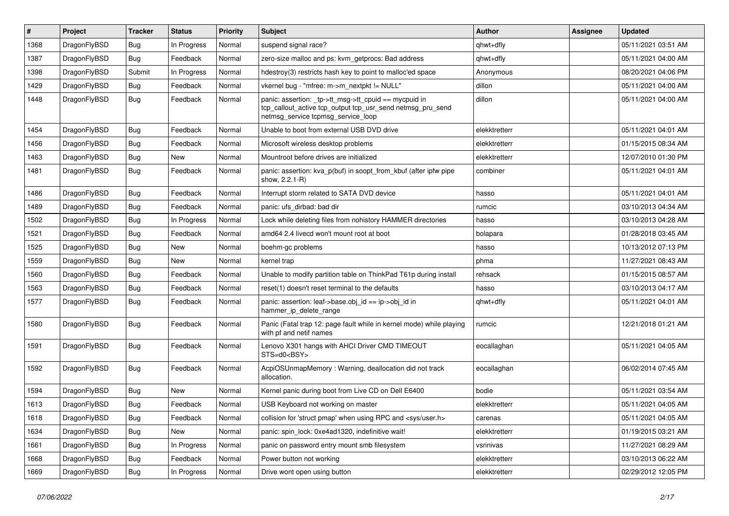| $\#$ | Project      | <b>Tracker</b> | <b>Status</b> | <b>Priority</b> | Subject                                                                                                                                                   | <b>Author</b> | Assignee | <b>Updated</b>      |
|------|--------------|----------------|---------------|-----------------|-----------------------------------------------------------------------------------------------------------------------------------------------------------|---------------|----------|---------------------|
| 1368 | DragonFlyBSD | <b>Bug</b>     | In Progress   | Normal          | suspend signal race?                                                                                                                                      | qhwt+dfly     |          | 05/11/2021 03:51 AM |
| 1387 | DragonFlyBSD | <b>Bug</b>     | Feedback      | Normal          | zero-size malloc and ps: kvm_getprocs: Bad address                                                                                                        | qhwt+dfly     |          | 05/11/2021 04:00 AM |
| 1398 | DragonFlyBSD | Submit         | In Progress   | Normal          | hdestroy(3) restricts hash key to point to malloc'ed space                                                                                                | Anonymous     |          | 08/20/2021 04:06 PM |
| 1429 | DragonFlyBSD | <b>Bug</b>     | Feedback      | Normal          | vkernel bug - "mfree: m->m_nextpkt != NULL"                                                                                                               | dillon        |          | 05/11/2021 04:00 AM |
| 1448 | DragonFlyBSD | <b>Bug</b>     | Feedback      | Normal          | panic: assertion: _tp->tt_msg->tt_cpuid == mycpuid in<br>tcp_callout_active tcp_output tcp_usr_send netmsg_pru_send<br>netmsg_service tcpmsg_service_loop | dillon        |          | 05/11/2021 04:00 AM |
| 1454 | DragonFlyBSD | <b>Bug</b>     | Feedback      | Normal          | Unable to boot from external USB DVD drive                                                                                                                | elekktretterr |          | 05/11/2021 04:01 AM |
| 1456 | DragonFlyBSD | <b>Bug</b>     | Feedback      | Normal          | Microsoft wireless desktop problems                                                                                                                       | elekktretterr |          | 01/15/2015 08:34 AM |
| 1463 | DragonFlyBSD | <b>Bug</b>     | New           | Normal          | Mountroot before drives are initialized                                                                                                                   | elekktretterr |          | 12/07/2010 01:30 PM |
| 1481 | DragonFlyBSD | <b>Bug</b>     | Feedback      | Normal          | panic: assertion: kva_p(buf) in soopt_from_kbuf (after ipfw pipe<br>show, 2.2.1-R)                                                                        | combiner      |          | 05/11/2021 04:01 AM |
| 1486 | DragonFlyBSD | Bug            | Feedback      | Normal          | Interrupt storm related to SATA DVD device                                                                                                                | hasso         |          | 05/11/2021 04:01 AM |
| 1489 | DragonFlyBSD | Bug            | Feedback      | Normal          | panic: ufs dirbad: bad dir                                                                                                                                | rumcic        |          | 03/10/2013 04:34 AM |
| 1502 | DragonFlyBSD | <b>Bug</b>     | In Progress   | Normal          | Lock while deleting files from nohistory HAMMER directories                                                                                               | hasso         |          | 03/10/2013 04:28 AM |
| 1521 | DragonFlyBSD | Bug            | Feedback      | Normal          | amd64 2.4 livecd won't mount root at boot                                                                                                                 | bolapara      |          | 01/28/2018 03:45 AM |
| 1525 | DragonFlyBSD | <b>Bug</b>     | New           | Normal          | boehm-gc problems                                                                                                                                         | hasso         |          | 10/13/2012 07:13 PM |
| 1559 | DragonFlyBSD | Bug            | New           | Normal          | kernel trap                                                                                                                                               | phma          |          | 11/27/2021 08:43 AM |
| 1560 | DragonFlyBSD | <b>Bug</b>     | Feedback      | Normal          | Unable to modify partition table on ThinkPad T61p during install                                                                                          | rehsack       |          | 01/15/2015 08:57 AM |
| 1563 | DragonFlyBSD | <b>Bug</b>     | Feedback      | Normal          | reset(1) doesn't reset terminal to the defaults                                                                                                           | hasso         |          | 03/10/2013 04:17 AM |
| 1577 | DragonFlyBSD | <b>Bug</b>     | Feedback      | Normal          | panic: assertion: leaf->base.obj_id == ip->obj_id in<br>hammer_ip_delete_range                                                                            | qhwt+dfly     |          | 05/11/2021 04:01 AM |
| 1580 | DragonFlyBSD | <b>Bug</b>     | Feedback      | Normal          | Panic (Fatal trap 12: page fault while in kernel mode) while playing<br>with pf and netif names                                                           | rumcic        |          | 12/21/2018 01:21 AM |
| 1591 | DragonFlyBSD | Bug            | Feedback      | Normal          | Lenovo X301 hangs with AHCI Driver CMD TIMEOUT<br>STS=d0 <bsy></bsy>                                                                                      | eocallaghan   |          | 05/11/2021 04:05 AM |
| 1592 | DragonFlyBSD | Bug            | Feedback      | Normal          | AcpiOSUnmapMemory: Warning, deallocation did not track<br>allocation.                                                                                     | eocallaghan   |          | 06/02/2014 07:45 AM |
| 1594 | DragonFlyBSD | Bug            | <b>New</b>    | Normal          | Kernel panic during boot from Live CD on Dell E6400                                                                                                       | bodie         |          | 05/11/2021 03:54 AM |
| 1613 | DragonFlyBSD | Bug            | Feedback      | Normal          | USB Keyboard not working on master                                                                                                                        | elekktretterr |          | 05/11/2021 04:05 AM |
| 1618 | DragonFlyBSD | <b>Bug</b>     | Feedback      | Normal          | collision for 'struct pmap' when using RPC and <sys user.h=""></sys>                                                                                      | carenas       |          | 05/11/2021 04:05 AM |
| 1634 | DragonFlyBSD | <b>Bug</b>     | New           | Normal          | panic: spin_lock: 0xe4ad1320, indefinitive wait!                                                                                                          | elekktretterr |          | 01/19/2015 03:21 AM |
| 1661 | DragonFlyBSD | <b>Bug</b>     | In Progress   | Normal          | panic on password entry mount smb filesystem                                                                                                              | vsrinivas     |          | 11/27/2021 08:29 AM |
| 1668 | DragonFlyBSD | <b>Bug</b>     | Feedback      | Normal          | Power button not working                                                                                                                                  | elekktretterr |          | 03/10/2013 06:22 AM |
| 1669 | DragonFlyBSD | <b>Bug</b>     | In Progress   | Normal          | Drive wont open using button                                                                                                                              | elekktretterr |          | 02/29/2012 12:05 PM |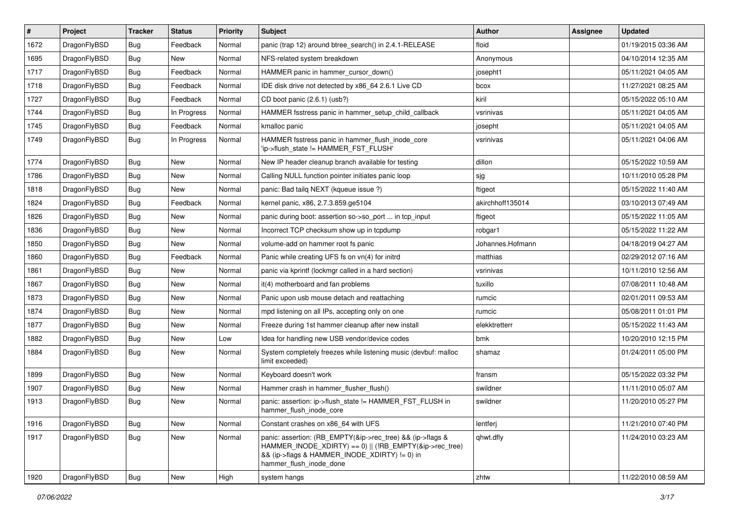| #    | Project      | <b>Tracker</b> | <b>Status</b> | <b>Priority</b> | Subject                                                                                                                                                                                           | Author           | Assignee | <b>Updated</b>      |
|------|--------------|----------------|---------------|-----------------|---------------------------------------------------------------------------------------------------------------------------------------------------------------------------------------------------|------------------|----------|---------------------|
| 1672 | DragonFlyBSD | <b>Bug</b>     | Feedback      | Normal          | panic (trap 12) around btree_search() in 2.4.1-RELEASE                                                                                                                                            | floid            |          | 01/19/2015 03:36 AM |
| 1695 | DragonFlyBSD | <b>Bug</b>     | New           | Normal          | NFS-related system breakdown                                                                                                                                                                      | Anonymous        |          | 04/10/2014 12:35 AM |
| 1717 | DragonFlyBSD | <b>Bug</b>     | Feedback      | Normal          | HAMMER panic in hammer cursor down()                                                                                                                                                              | josepht1         |          | 05/11/2021 04:05 AM |
| 1718 | DragonFlyBSD | <b>Bug</b>     | Feedback      | Normal          | IDE disk drive not detected by x86_64 2.6.1 Live CD                                                                                                                                               | bcox             |          | 11/27/2021 08:25 AM |
| 1727 | DragonFlyBSD | <b>Bug</b>     | Feedback      | Normal          | CD boot panic (2.6.1) (usb?)                                                                                                                                                                      | kiril            |          | 05/15/2022 05:10 AM |
| 1744 | DragonFlyBSD | <b>Bug</b>     | In Progress   | Normal          | HAMMER fsstress panic in hammer setup child callback                                                                                                                                              | vsrinivas        |          | 05/11/2021 04:05 AM |
| 1745 | DragonFlyBSD | <b>Bug</b>     | Feedback      | Normal          | kmalloc panic                                                                                                                                                                                     | josepht          |          | 05/11/2021 04:05 AM |
| 1749 | DragonFlyBSD | <b>Bug</b>     | In Progress   | Normal          | HAMMER fsstress panic in hammer_flush_inode_core<br>'ip->flush state != HAMMER FST FLUSH'                                                                                                         | vsrinivas        |          | 05/11/2021 04:06 AM |
| 1774 | DragonFlyBSD | <b>Bug</b>     | <b>New</b>    | Normal          | New IP header cleanup branch available for testing                                                                                                                                                | dillon           |          | 05/15/2022 10:59 AM |
| 1786 | DragonFlyBSD | <b>Bug</b>     | New           | Normal          | Calling NULL function pointer initiates panic loop                                                                                                                                                | sjg              |          | 10/11/2010 05:28 PM |
| 1818 | DragonFlyBSD | <b>Bug</b>     | New           | Normal          | panic: Bad tailg NEXT (kqueue issue ?)                                                                                                                                                            | ftigeot          |          | 05/15/2022 11:40 AM |
| 1824 | DragonFlyBSD | <b>Bug</b>     | Feedback      | Normal          | kernel panic, x86, 2.7.3.859.ge5104                                                                                                                                                               | akirchhoff135014 |          | 03/10/2013 07:49 AM |
| 1826 | DragonFlyBSD | <b>Bug</b>     | <b>New</b>    | Normal          | panic during boot: assertion so->so_port  in tcp_input                                                                                                                                            | ftigeot          |          | 05/15/2022 11:05 AM |
| 1836 | DragonFlyBSD | <b>Bug</b>     | New           | Normal          | Incorrect TCP checksum show up in tcpdump                                                                                                                                                         | robgar1          |          | 05/15/2022 11:22 AM |
| 1850 | DragonFlyBSD | Bug            | <b>New</b>    | Normal          | volume-add on hammer root fs panic                                                                                                                                                                | Johannes.Hofmann |          | 04/18/2019 04:27 AM |
| 1860 | DragonFlyBSD | Bug            | Feedback      | Normal          | Panic while creating UFS fs on vn(4) for initrd                                                                                                                                                   | matthias         |          | 02/29/2012 07:16 AM |
| 1861 | DragonFlyBSD | Bug            | New           | Normal          | panic via kprintf (lockmgr called in a hard section)                                                                                                                                              | vsrinivas        |          | 10/11/2010 12:56 AM |
| 1867 | DragonFlyBSD | Bug            | New           | Normal          | it(4) motherboard and fan problems                                                                                                                                                                | tuxillo          |          | 07/08/2011 10:48 AM |
| 1873 | DragonFlyBSD | Bug            | New           | Normal          | Panic upon usb mouse detach and reattaching                                                                                                                                                       | rumcic           |          | 02/01/2011 09:53 AM |
| 1874 | DragonFlyBSD | Bug            | New           | Normal          | mpd listening on all IPs, accepting only on one                                                                                                                                                   | rumcic           |          | 05/08/2011 01:01 PM |
| 1877 | DragonFlyBSD | Bug            | New           | Normal          | Freeze during 1st hammer cleanup after new install                                                                                                                                                | elekktretterr    |          | 05/15/2022 11:43 AM |
| 1882 | DragonFlyBSD | Bug            | New           | Low             | Idea for handling new USB vendor/device codes                                                                                                                                                     | bmk              |          | 10/20/2010 12:15 PM |
| 1884 | DragonFlyBSD | <b>Bug</b>     | New           | Normal          | System completely freezes while listening music (devbuf: malloc<br>limit exceeded)                                                                                                                | shamaz           |          | 01/24/2011 05:00 PM |
| 1899 | DragonFlyBSD | Bug            | <b>New</b>    | Normal          | Keyboard doesn't work                                                                                                                                                                             | fransm           |          | 05/15/2022 03:32 PM |
| 1907 | DragonFlyBSD | Bug            | <b>New</b>    | Normal          | Hammer crash in hammer_flusher_flush()                                                                                                                                                            | swildner         |          | 11/11/2010 05:07 AM |
| 1913 | DragonFlyBSD | Bug            | New           | Normal          | panic: assertion: ip->flush_state != HAMMER_FST_FLUSH in<br>hammer_flush_inode_core                                                                                                               | swildner         |          | 11/20/2010 05:27 PM |
| 1916 | DragonFlyBSD | Bug            | <b>New</b>    | Normal          | Constant crashes on x86 64 with UFS                                                                                                                                                               | lentferj         |          | 11/21/2010 07:40 PM |
| 1917 | DragonFlyBSD | Bug            | New           | Normal          | panic: assertion: (RB_EMPTY(&ip->rec_tree) && (ip->flags &<br>HAMMER_INODE_XDIRTY) == 0)    (!RB_EMPTY(&ip->rec_tree)<br>&& (ip->flags & HAMMER_INODE_XDIRTY) != 0) in<br>hammer_flush_inode_done | qhwt.dfly        |          | 11/24/2010 03:23 AM |
| 1920 | DragonFlyBSD | Bug            | New           | High            | system hangs                                                                                                                                                                                      | zhtw             |          | 11/22/2010 08:59 AM |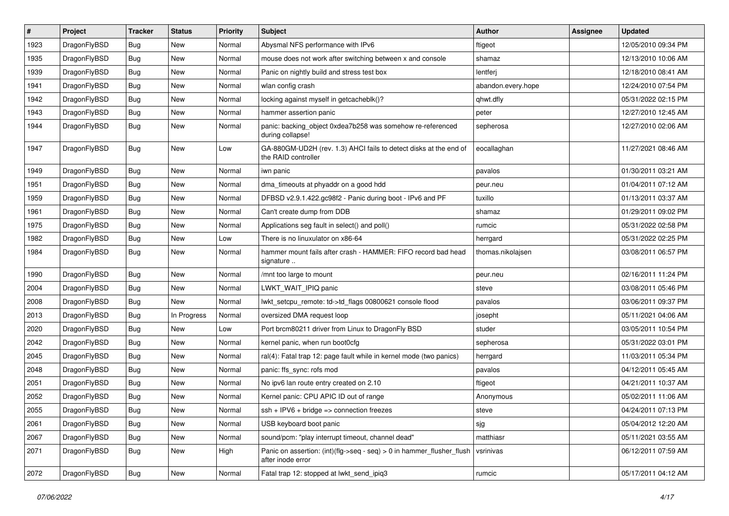| $\vert$ # | Project      | <b>Tracker</b> | <b>Status</b> | <b>Priority</b> | <b>Subject</b>                                                                             | Author             | <b>Assignee</b> | <b>Updated</b>      |
|-----------|--------------|----------------|---------------|-----------------|--------------------------------------------------------------------------------------------|--------------------|-----------------|---------------------|
| 1923      | DragonFlyBSD | <b>Bug</b>     | <b>New</b>    | Normal          | Abysmal NFS performance with IPv6                                                          | ftigeot            |                 | 12/05/2010 09:34 PM |
| 1935      | DragonFlyBSD | <b>Bug</b>     | <b>New</b>    | Normal          | mouse does not work after switching between x and console                                  | shamaz             |                 | 12/13/2010 10:06 AM |
| 1939      | DragonFlyBSD | <b>Bug</b>     | <b>New</b>    | Normal          | Panic on nightly build and stress test box                                                 | lentferj           |                 | 12/18/2010 08:41 AM |
| 1941      | DragonFlyBSD | <b>Bug</b>     | <b>New</b>    | Normal          | wlan config crash                                                                          | abandon.every.hope |                 | 12/24/2010 07:54 PM |
| 1942      | DragonFlyBSD | <b>Bug</b>     | <b>New</b>    | Normal          | locking against myself in getcacheblk()?                                                   | qhwt.dfly          |                 | 05/31/2022 02:15 PM |
| 1943      | DragonFlyBSD | <b>Bug</b>     | New           | Normal          | hammer assertion panic                                                                     | peter              |                 | 12/27/2010 12:45 AM |
| 1944      | DragonFlyBSD | Bug            | <b>New</b>    | Normal          | panic: backing_object 0xdea7b258 was somehow re-referenced<br>during collapse!             | sepherosa          |                 | 12/27/2010 02:06 AM |
| 1947      | DragonFlyBSD | Bug            | <b>New</b>    | Low             | GA-880GM-UD2H (rev. 1.3) AHCI fails to detect disks at the end of<br>the RAID controller   | eocallaghan        |                 | 11/27/2021 08:46 AM |
| 1949      | DragonFlyBSD | <b>Bug</b>     | <b>New</b>    | Normal          | iwn panic                                                                                  | pavalos            |                 | 01/30/2011 03:21 AM |
| 1951      | DragonFlyBSD | Bug            | New           | Normal          | dma_timeouts at phyaddr on a good hdd                                                      | peur.neu           |                 | 01/04/2011 07:12 AM |
| 1959      | DragonFlyBSD | <b>Bug</b>     | <b>New</b>    | Normal          | DFBSD v2.9.1.422.gc98f2 - Panic during boot - IPv6 and PF                                  | tuxillo            |                 | 01/13/2011 03:37 AM |
| 1961      | DragonFlyBSD | <b>Bug</b>     | <b>New</b>    | Normal          | Can't create dump from DDB                                                                 | shamaz             |                 | 01/29/2011 09:02 PM |
| 1975      | DragonFlyBSD | Bug            | <b>New</b>    | Normal          | Applications seg fault in select() and poll()                                              | rumcic             |                 | 05/31/2022 02:58 PM |
| 1982      | DragonFlyBSD | <b>Bug</b>     | <b>New</b>    | Low             | There is no linuxulator on x86-64                                                          | herrgard           |                 | 05/31/2022 02:25 PM |
| 1984      | DragonFlyBSD | Bug            | <b>New</b>    | Normal          | hammer mount fails after crash - HAMMER: FIFO record bad head<br>signature                 | thomas.nikolajsen  |                 | 03/08/2011 06:57 PM |
| 1990      | DragonFlyBSD | <b>Bug</b>     | <b>New</b>    | Normal          | /mnt too large to mount                                                                    | peur.neu           |                 | 02/16/2011 11:24 PM |
| 2004      | DragonFlyBSD | Bug            | <b>New</b>    | Normal          | LWKT WAIT IPIQ panic                                                                       | steve              |                 | 03/08/2011 05:46 PM |
| 2008      | DragonFlyBSD | <b>Bug</b>     | New           | Normal          | lwkt_setcpu_remote: td->td_flags 00800621 console flood                                    | pavalos            |                 | 03/06/2011 09:37 PM |
| 2013      | DragonFlyBSD | <b>Bug</b>     | In Progress   | Normal          | oversized DMA request loop                                                                 | josepht            |                 | 05/11/2021 04:06 AM |
| 2020      | DragonFlyBSD | <b>Bug</b>     | <b>New</b>    | Low             | Port brcm80211 driver from Linux to DragonFly BSD                                          | studer             |                 | 03/05/2011 10:54 PM |
| 2042      | DragonFlyBSD | <b>Bug</b>     | <b>New</b>    | Normal          | kernel panic, when run boot0cfg                                                            | sepherosa          |                 | 05/31/2022 03:01 PM |
| 2045      | DragonFlyBSD | Bug            | <b>New</b>    | Normal          | ral(4): Fatal trap 12: page fault while in kernel mode (two panics)                        | herrgard           |                 | 11/03/2011 05:34 PM |
| 2048      | DragonFlyBSD | Bug            | <b>New</b>    | Normal          | panic: ffs_sync: rofs mod                                                                  | pavalos            |                 | 04/12/2011 05:45 AM |
| 2051      | DragonFlyBSD | <b>Bug</b>     | New           | Normal          | No ipv6 lan route entry created on 2.10                                                    | ftigeot            |                 | 04/21/2011 10:37 AM |
| 2052      | DragonFlyBSD | Bug            | <b>New</b>    | Normal          | Kernel panic: CPU APIC ID out of range                                                     | Anonymous          |                 | 05/02/2011 11:06 AM |
| 2055      | DragonFlyBSD | Bug            | New           | Normal          | $ssh + IPV6 + bridge \Rightarrow$ connection freezes                                       | steve              |                 | 04/24/2011 07:13 PM |
| 2061      | DragonFlyBSD | Bug            | <b>New</b>    | Normal          | USB keyboard boot panic                                                                    | sjg                |                 | 05/04/2012 12:20 AM |
| 2067      | DragonFlyBSD | Bug            | New           | Normal          | sound/pcm: "play interrupt timeout, channel dead"                                          | matthiasr          |                 | 05/11/2021 03:55 AM |
| 2071      | DragonFlyBSD | <b>Bug</b>     | New           | High            | Panic on assertion: (int)(flg->seq - seq) > 0 in hammer_flusher_flush<br>after inode error | vsrinivas          |                 | 06/12/2011 07:59 AM |
| 2072      | DragonFlyBSD | <b>Bug</b>     | New           | Normal          | Fatal trap 12: stopped at lwkt_send_ipiq3                                                  | rumcic             |                 | 05/17/2011 04:12 AM |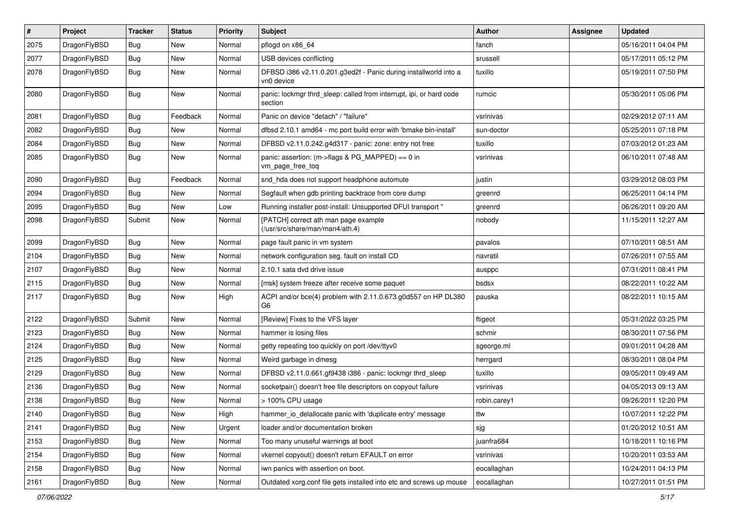| $\pmb{\#}$ | Project      | <b>Tracker</b> | <b>Status</b> | <b>Priority</b> | Subject                                                                         | <b>Author</b> | Assignee | <b>Updated</b>      |
|------------|--------------|----------------|---------------|-----------------|---------------------------------------------------------------------------------|---------------|----------|---------------------|
| 2075       | DragonFlyBSD | Bug            | <b>New</b>    | Normal          | pflogd on x86_64                                                                | fanch         |          | 05/16/2011 04:04 PM |
| 2077       | DragonFlyBSD | Bug            | <b>New</b>    | Normal          | USB devices conflicting                                                         | srussell      |          | 05/17/2011 05:12 PM |
| 2078       | DragonFlyBSD | Bug            | New           | Normal          | DFBSD i386 v2.11.0.201.g3ed2f - Panic during installworld into a<br>vn0 device  | tuxillo       |          | 05/19/2011 07:50 PM |
| 2080       | DragonFlyBSD | Bug            | New           | Normal          | panic: lockmgr thrd sleep: called from interrupt, ipi, or hard code<br>section  | rumcic        |          | 05/30/2011 05:06 PM |
| 2081       | DragonFlyBSD | Bug            | Feedback      | Normal          | Panic on device "detach" / "failure"                                            | vsrinivas     |          | 02/29/2012 07:11 AM |
| 2082       | DragonFlyBSD | Bug            | New           | Normal          | dfbsd 2.10.1 amd64 - mc port build error with 'bmake bin-install'               | sun-doctor    |          | 05/25/2011 07:18 PM |
| 2084       | DragonFlyBSD | Bug            | New           | Normal          | DFBSD v2.11.0.242.g4d317 - panic: zone: entry not free                          | tuxillo       |          | 07/03/2012 01:23 AM |
| 2085       | DragonFlyBSD | Bug            | <b>New</b>    | Normal          | panic: assertion: (m->flags & PG_MAPPED) == 0 in<br>vm_page_free_toq            | vsrinivas     |          | 06/10/2011 07:48 AM |
| 2090       | DragonFlyBSD | Bug            | Feedback      | Normal          | snd_hda does not support headphone automute                                     | justin        |          | 03/29/2012 08:03 PM |
| 2094       | DragonFlyBSD | Bug            | <b>New</b>    | Normal          | Segfault when gdb printing backtrace from core dump                             | greenrd       |          | 06/25/2011 04:14 PM |
| 2095       | DragonFlyBSD | Bug            | <b>New</b>    | Low             | Running installer post-install: Unsupported DFUI transport "                    | greenrd       |          | 06/26/2011 09:20 AM |
| 2098       | DragonFlyBSD | Submit         | New           | Normal          | [PATCH] correct ath man page example<br>(/usr/src/share/man/man4/ath.4)         | nobody        |          | 11/15/2011 12:27 AM |
| 2099       | DragonFlyBSD | Bug            | <b>New</b>    | Normal          | page fault panic in vm system                                                   | pavalos       |          | 07/10/2011 08:51 AM |
| 2104       | DragonFlyBSD | Bug            | <b>New</b>    | Normal          | network configuration seg. fault on install CD                                  | navratil      |          | 07/26/2011 07:55 AM |
| 2107       | DragonFlyBSD | Bug            | <b>New</b>    | Normal          | 2.10.1 sata dvd drive issue                                                     | ausppc        |          | 07/31/2011 08:41 PM |
| 2115       | DragonFlyBSD | Bug            | New           | Normal          | [msk] system freeze after receive some paquet                                   | bsdsx         |          | 08/22/2011 10:22 AM |
| 2117       | DragonFlyBSD | Bug            | New           | High            | ACPI and/or bce(4) problem with 2.11.0.673.g0d557 on HP DL380<br>G <sub>6</sub> | pauska        |          | 08/22/2011 10:15 AM |
| 2122       | DragonFlyBSD | Submit         | <b>New</b>    | Normal          | [Review] Fixes to the VFS layer                                                 | ftigeot       |          | 05/31/2022 03:25 PM |
| 2123       | DragonFlyBSD | Bug            | <b>New</b>    | Normal          | hammer is losing files                                                          | schmir        |          | 08/30/2011 07:56 PM |
| 2124       | DragonFlyBSD | Bug            | New           | Normal          | getty repeating too quickly on port /dev/ttyv0                                  | sgeorge.ml    |          | 09/01/2011 04:28 AM |
| 2125       | DragonFlyBSD | Bug            | <b>New</b>    | Normal          | Weird garbage in dmesg                                                          | herrgard      |          | 08/30/2011 08:04 PM |
| 2129       | DragonFlyBSD | Bug            | <b>New</b>    | Normal          | DFBSD v2.11.0.661.gf9438 i386 - panic: lockmgr thrd_sleep                       | tuxillo       |          | 09/05/2011 09:49 AM |
| 2136       | DragonFlyBSD | Bug            | New           | Normal          | socketpair() doesn't free file descriptors on copyout failure                   | vsrinivas     |          | 04/05/2013 09:13 AM |
| 2138       | DragonFlyBSD | Bug            | <b>New</b>    | Normal          | > 100% CPU usage                                                                | robin.carey1  |          | 09/26/2011 12:20 PM |
| 2140       | DragonFlyBSD | Bug            | New           | High            | hammer_io_delallocate panic with 'duplicate entry' message                      | ttw           |          | 10/07/2011 12:22 PM |
| 2141       | DragonFlyBSD | Bug            | New           | Urgent          | loader and/or documentation broken                                              | sjg           |          | 01/20/2012 10:51 AM |
| 2153       | DragonFlyBSD | <b>Bug</b>     | New           | Normal          | Too many unuseful warnings at boot                                              | juanfra684    |          | 10/18/2011 10:16 PM |
| 2154       | DragonFlyBSD | Bug            | New           | Normal          | vkernel copyout() doesn't return EFAULT on error                                | vsrinivas     |          | 10/20/2011 03:53 AM |
| 2158       | DragonFlyBSD | <b>Bug</b>     | New           | Normal          | iwn panics with assertion on boot.                                              | eocallaghan   |          | 10/24/2011 04:13 PM |
| 2161       | DragonFlyBSD | <b>Bug</b>     | New           | Normal          | Outdated xorg.conf file gets installed into etc and screws up mouse             | eocallaghan   |          | 10/27/2011 01:51 PM |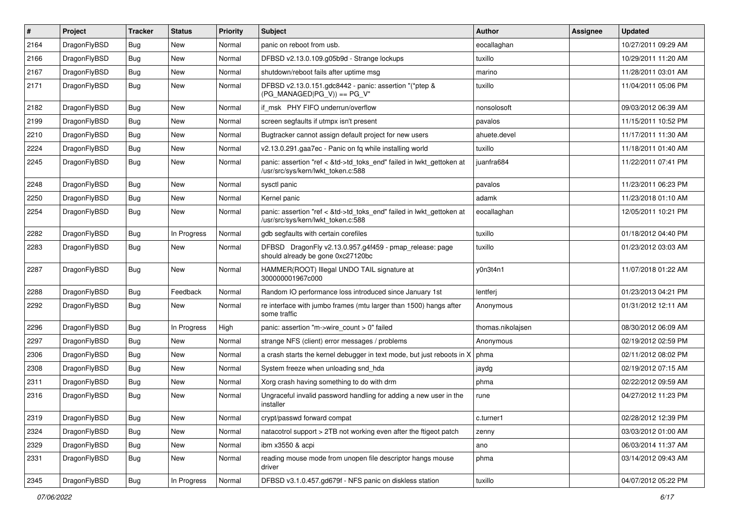| $\vert$ # | Project      | <b>Tracker</b> | <b>Status</b> | <b>Priority</b> | <b>Subject</b>                                                                                             | Author            | Assignee | <b>Updated</b>      |
|-----------|--------------|----------------|---------------|-----------------|------------------------------------------------------------------------------------------------------------|-------------------|----------|---------------------|
| 2164      | DragonFlyBSD | Bug            | <b>New</b>    | Normal          | panic on reboot from usb.                                                                                  | eocallaghan       |          | 10/27/2011 09:29 AM |
| 2166      | DragonFlyBSD | <b>Bug</b>     | <b>New</b>    | Normal          | DFBSD v2.13.0.109.g05b9d - Strange lockups                                                                 | tuxillo           |          | 10/29/2011 11:20 AM |
| 2167      | DragonFlyBSD | <b>Bug</b>     | <b>New</b>    | Normal          | shutdown/reboot fails after uptime msg                                                                     | marino            |          | 11/28/2011 03:01 AM |
| 2171      | DragonFlyBSD | Bug            | New           | Normal          | DFBSD v2.13.0.151.gdc8442 - panic: assertion "(*ptep &<br>$(PG_MANAGED PG_V)$ == PG_V"                     | tuxillo           |          | 11/04/2011 05:06 PM |
| 2182      | DragonFlyBSD | <b>Bug</b>     | New           | Normal          | if msk PHY FIFO underrun/overflow                                                                          | nonsolosoft       |          | 09/03/2012 06:39 AM |
| 2199      | DragonFlyBSD | Bug            | <b>New</b>    | Normal          | screen segfaults if utmpx isn't present                                                                    | pavalos           |          | 11/15/2011 10:52 PM |
| 2210      | DragonFlyBSD | <b>Bug</b>     | <b>New</b>    | Normal          | Bugtracker cannot assign default project for new users                                                     | ahuete.devel      |          | 11/17/2011 11:30 AM |
| 2224      | DragonFlyBSD | <b>Bug</b>     | <b>New</b>    | Normal          | v2.13.0.291.gaa7ec - Panic on fq while installing world                                                    | tuxillo           |          | 11/18/2011 01:40 AM |
| 2245      | DragonFlyBSD | Bug            | <b>New</b>    | Normal          | panic: assertion "ref < &td->td_toks_end" failed in lwkt_gettoken at<br>/usr/src/sys/kern/lwkt_token.c:588 | juanfra684        |          | 11/22/2011 07:41 PM |
| 2248      | DragonFlyBSD | Bug            | <b>New</b>    | Normal          | sysctl panic                                                                                               | pavalos           |          | 11/23/2011 06:23 PM |
| 2250      | DragonFlyBSD | <b>Bug</b>     | <b>New</b>    | Normal          | Kernel panic                                                                                               | adamk             |          | 11/23/2018 01:10 AM |
| 2254      | DragonFlyBSD | Bug            | New           | Normal          | panic: assertion "ref < &td->td_toks_end" failed in lwkt_gettoken at<br>/usr/src/sys/kern/lwkt_token.c:588 | eocallaghan       |          | 12/05/2011 10:21 PM |
| 2282      | DragonFlyBSD | <b>Bug</b>     | In Progress   | Normal          | gdb segfaults with certain corefiles                                                                       | tuxillo           |          | 01/18/2012 04:40 PM |
| 2283      | DragonFlyBSD | Bug            | <b>New</b>    | Normal          | DFBSD DragonFly v2.13.0.957.g4f459 - pmap_release: page<br>should already be gone 0xc27120bc               | tuxillo           |          | 01/23/2012 03:03 AM |
| 2287      | DragonFlyBSD | <b>Bug</b>     | <b>New</b>    | Normal          | HAMMER(ROOT) Illegal UNDO TAIL signature at<br>300000001967c000                                            | y0n3t4n1          |          | 11/07/2018 01:22 AM |
| 2288      | DragonFlyBSD | <b>Bug</b>     | Feedback      | Normal          | Random IO performance loss introduced since January 1st                                                    | lentferj          |          | 01/23/2013 04:21 PM |
| 2292      | DragonFlyBSD | <b>Bug</b>     | New           | Normal          | re interface with jumbo frames (mtu larger than 1500) hangs after<br>some traffic                          | Anonymous         |          | 01/31/2012 12:11 AM |
| 2296      | DragonFlyBSD | <b>Bug</b>     | In Progress   | High            | panic: assertion "m->wire count > 0" failed                                                                | thomas.nikolajsen |          | 08/30/2012 06:09 AM |
| 2297      | DragonFlyBSD | Bug            | <b>New</b>    | Normal          | strange NFS (client) error messages / problems                                                             | Anonymous         |          | 02/19/2012 02:59 PM |
| 2306      | DragonFlyBSD | <b>Bug</b>     | <b>New</b>    | Normal          | a crash starts the kernel debugger in text mode, but just reboots in X                                     | phma              |          | 02/11/2012 08:02 PM |
| 2308      | DragonFlyBSD | <b>Bug</b>     | <b>New</b>    | Normal          | System freeze when unloading snd_hda                                                                       | jaydg             |          | 02/19/2012 07:15 AM |
| 2311      | DragonFlyBSD | Bug            | <b>New</b>    | Normal          | Xorg crash having something to do with drm                                                                 | phma              |          | 02/22/2012 09:59 AM |
| 2316      | DragonFlyBSD | <b>Bug</b>     | <b>New</b>    | Normal          | Ungraceful invalid password handling for adding a new user in the<br>installer                             | rune              |          | 04/27/2012 11:23 PM |
| 2319      | DragonFlyBSD | <b>Bug</b>     | New           | Normal          | crypt/passwd forward compat                                                                                | c.turner1         |          | 02/28/2012 12:39 PM |
| 2324      | DragonFlyBSD | <b>Bug</b>     | New           | Normal          | natacotrol support > 2TB not working even after the ftigeot patch                                          | zenny             |          | 03/03/2012 01:00 AM |
| 2329      | DragonFlyBSD | <b>Bug</b>     | New           | Normal          | ibm x3550 & acpi                                                                                           | ano               |          | 06/03/2014 11:37 AM |
| 2331      | DragonFlyBSD | Bug            | New           | Normal          | reading mouse mode from unopen file descriptor hangs mouse<br>driver                                       | phma              |          | 03/14/2012 09:43 AM |
| 2345      | DragonFlyBSD | <b>Bug</b>     | In Progress   | Normal          | DFBSD v3.1.0.457.gd679f - NFS panic on diskless station                                                    | tuxillo           |          | 04/07/2012 05:22 PM |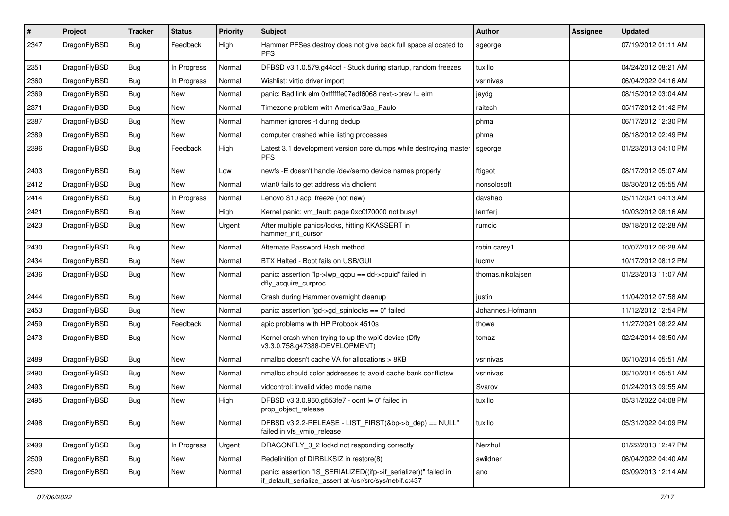| $\pmb{\#}$ | Project      | <b>Tracker</b> | <b>Status</b> | <b>Priority</b> | Subject                                                                                                                      | Author            | Assignee | <b>Updated</b>      |
|------------|--------------|----------------|---------------|-----------------|------------------------------------------------------------------------------------------------------------------------------|-------------------|----------|---------------------|
| 2347       | DragonFlyBSD | Bug            | Feedback      | High            | Hammer PFSes destroy does not give back full space allocated to<br><b>PFS</b>                                                | sgeorge           |          | 07/19/2012 01:11 AM |
| 2351       | DragonFlyBSD | <b>Bug</b>     | In Progress   | Normal          | DFBSD v3.1.0.579.g44ccf - Stuck during startup, random freezes                                                               | tuxillo           |          | 04/24/2012 08:21 AM |
| 2360       | DragonFlyBSD | Bug            | In Progress   | Normal          | Wishlist: virtio driver import                                                                                               | vsrinivas         |          | 06/04/2022 04:16 AM |
| 2369       | DragonFlyBSD | Bug            | <b>New</b>    | Normal          | panic: Bad link elm 0xffffffe07edf6068 next->prev != elm                                                                     | jaydg             |          | 08/15/2012 03:04 AM |
| 2371       | DragonFlyBSD | <b>Bug</b>     | New           | Normal          | Timezone problem with America/Sao Paulo                                                                                      | raitech           |          | 05/17/2012 01:42 PM |
| 2387       | DragonFlyBSD | Bug            | <b>New</b>    | Normal          | hammer ignores -t during dedup                                                                                               | phma              |          | 06/17/2012 12:30 PM |
| 2389       | DragonFlyBSD | Bug            | New           | Normal          | computer crashed while listing processes                                                                                     | phma              |          | 06/18/2012 02:49 PM |
| 2396       | DragonFlyBSD | Bug            | Feedback      | High            | Latest 3.1 development version core dumps while destroying master<br><b>PFS</b>                                              | sgeorge           |          | 01/23/2013 04:10 PM |
| 2403       | DragonFlyBSD | <b>Bug</b>     | <b>New</b>    | Low             | newfs - E doesn't handle /dev/serno device names properly                                                                    | ftigeot           |          | 08/17/2012 05:07 AM |
| 2412       | DragonFlyBSD | Bug            | <b>New</b>    | Normal          | wlan0 fails to get address via dhclient                                                                                      | nonsolosoft       |          | 08/30/2012 05:55 AM |
| 2414       | DragonFlyBSD | <b>Bug</b>     | In Progress   | Normal          | Lenovo S10 acpi freeze (not new)                                                                                             | davshao           |          | 05/11/2021 04:13 AM |
| 2421       | DragonFlyBSD | Bug            | New           | High            | Kernel panic: vm_fault: page 0xc0f70000 not busy!                                                                            | lentferj          |          | 10/03/2012 08:16 AM |
| 2423       | DragonFlyBSD | Bug            | New           | Urgent          | After multiple panics/locks, hitting KKASSERT in<br>hammer_init_cursor                                                       | rumcic            |          | 09/18/2012 02:28 AM |
| 2430       | DragonFlyBSD | Bug            | <b>New</b>    | Normal          | Alternate Password Hash method                                                                                               | robin.carey1      |          | 10/07/2012 06:28 AM |
| 2434       | DragonFlyBSD | Bug            | <b>New</b>    | Normal          | BTX Halted - Boot fails on USB/GUI                                                                                           | lucmv             |          | 10/17/2012 08:12 PM |
| 2436       | DragonFlyBSD | Bug            | New           | Normal          | panic: assertion "lp->lwp_qcpu == dd->cpuid" failed in<br>dfly_acquire_curproc                                               | thomas.nikolajsen |          | 01/23/2013 11:07 AM |
| 2444       | DragonFlyBSD | <b>Bug</b>     | New           | Normal          | Crash during Hammer overnight cleanup                                                                                        | justin            |          | 11/04/2012 07:58 AM |
| 2453       | DragonFlyBSD | Bug            | New           | Normal          | panic: assertion "gd->gd_spinlocks == 0" failed                                                                              | Johannes.Hofmann  |          | 11/12/2012 12:54 PM |
| 2459       | DragonFlyBSD | Bug            | Feedback      | Normal          | apic problems with HP Probook 4510s                                                                                          | thowe             |          | 11/27/2021 08:22 AM |
| 2473       | DragonFlyBSD | Bug            | New           | Normal          | Kernel crash when trying to up the wpi0 device (Dfly<br>v3.3.0.758.g47388-DEVELOPMENT)                                       | tomaz             |          | 02/24/2014 08:50 AM |
| 2489       | DragonFlyBSD | Bug            | <b>New</b>    | Normal          | nmalloc doesn't cache VA for allocations > 8KB                                                                               | vsrinivas         |          | 06/10/2014 05:51 AM |
| 2490       | DragonFlyBSD | Bug            | New           | Normal          | nmalloc should color addresses to avoid cache bank conflictsw                                                                | vsrinivas         |          | 06/10/2014 05:51 AM |
| 2493       | DragonFlyBSD | Bug            | New           | Normal          | vidcontrol: invalid video mode name                                                                                          | Svarov            |          | 01/24/2013 09:55 AM |
| 2495       | DragonFlyBSD | Bug            | New           | High            | DFBSD v3.3.0.960.g553fe7 - ocnt != 0" failed in<br>prop_object_release                                                       | tuxillo           |          | 05/31/2022 04:08 PM |
| 2498       | DragonFlyBSD | Bug            | New           | Normal          | DFBSD v3.2.2-RELEASE - LIST_FIRST(&bp->b_dep) == NULL"<br>failed in vfs vmio release                                         | tuxillo           |          | 05/31/2022 04:09 PM |
| 2499       | DragonFlyBSD | Bug            | In Progress   | Urgent          | DRAGONFLY_3_2 lockd not responding correctly                                                                                 | Nerzhul           |          | 01/22/2013 12:47 PM |
| 2509       | DragonFlyBSD | Bug            | New           | Normal          | Redefinition of DIRBLKSIZ in restore(8)                                                                                      | swildner          |          | 06/04/2022 04:40 AM |
| 2520       | DragonFlyBSD | Bug            | New           | Normal          | panic: assertion "IS_SERIALIZED((ifp->if_serializer))" failed in<br>if default serialize assert at /usr/src/sys/net/if.c:437 | ano               |          | 03/09/2013 12:14 AM |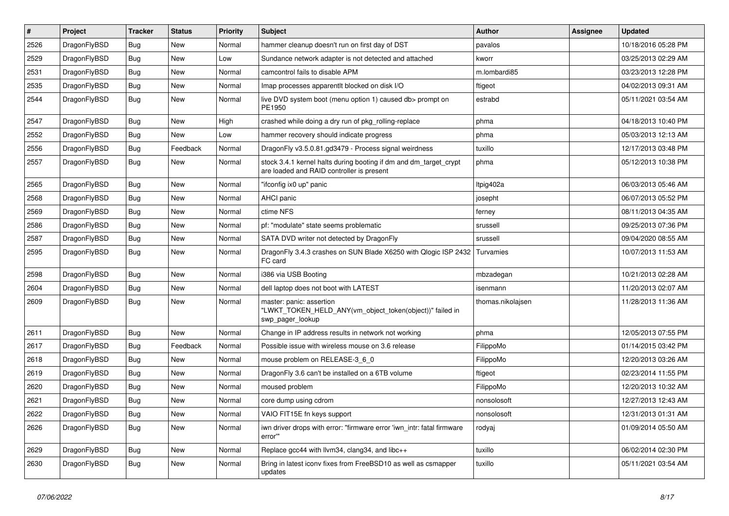| $\pmb{\#}$ | Project      | <b>Tracker</b> | <b>Status</b> | <b>Priority</b> | <b>Subject</b>                                                                                                 | Author            | Assignee | <b>Updated</b>      |
|------------|--------------|----------------|---------------|-----------------|----------------------------------------------------------------------------------------------------------------|-------------------|----------|---------------------|
| 2526       | DragonFlyBSD | Bug            | <b>New</b>    | Normal          | hammer cleanup doesn't run on first day of DST                                                                 | pavalos           |          | 10/18/2016 05:28 PM |
| 2529       | DragonFlyBSD | Bug            | <b>New</b>    | Low             | Sundance network adapter is not detected and attached                                                          | kworr             |          | 03/25/2013 02:29 AM |
| 2531       | DragonFlyBSD | <b>Bug</b>     | <b>New</b>    | Normal          | camcontrol fails to disable APM                                                                                | m.lombardi85      |          | 03/23/2013 12:28 PM |
| 2535       | DragonFlyBSD | Bug            | <b>New</b>    | Normal          | Imap processes apparentlt blocked on disk I/O                                                                  | ftigeot           |          | 04/02/2013 09:31 AM |
| 2544       | DragonFlyBSD | Bug            | New           | Normal          | live DVD system boot (menu option 1) caused db> prompt on<br>PE1950                                            | estrabd           |          | 05/11/2021 03:54 AM |
| 2547       | DragonFlyBSD | Bug            | New           | High            | crashed while doing a dry run of pkg_rolling-replace                                                           | phma              |          | 04/18/2013 10:40 PM |
| 2552       | DragonFlyBSD | <b>Bug</b>     | <b>New</b>    | Low             | hammer recovery should indicate progress                                                                       | phma              |          | 05/03/2013 12:13 AM |
| 2556       | DragonFlyBSD | Bug            | Feedback      | Normal          | DragonFly v3.5.0.81.gd3479 - Process signal weirdness                                                          | tuxillo           |          | 12/17/2013 03:48 PM |
| 2557       | DragonFlyBSD | Bug            | <b>New</b>    | Normal          | stock 3.4.1 kernel halts during booting if dm and dm_target_crypt<br>are loaded and RAID controller is present | phma              |          | 05/12/2013 10:38 PM |
| 2565       | DragonFlyBSD | Bug            | <b>New</b>    | Normal          | "ifconfig ix0 up" panic                                                                                        | Itpig402a         |          | 06/03/2013 05:46 AM |
| 2568       | DragonFlyBSD | <b>Bug</b>     | <b>New</b>    | Normal          | AHCI panic                                                                                                     | josepht           |          | 06/07/2013 05:52 PM |
| 2569       | DragonFlyBSD | Bug            | <b>New</b>    | Normal          | ctime NFS                                                                                                      | ferney            |          | 08/11/2013 04:35 AM |
| 2586       | DragonFlyBSD | <b>Bug</b>     | <b>New</b>    | Normal          | pf: "modulate" state seems problematic                                                                         | srussell          |          | 09/25/2013 07:36 PM |
| 2587       | DragonFlyBSD | <b>Bug</b>     | <b>New</b>    | Normal          | SATA DVD writer not detected by DragonFly                                                                      | srussell          |          | 09/04/2020 08:55 AM |
| 2595       | DragonFlyBSD | Bug            | New           | Normal          | DragonFly 3.4.3 crashes on SUN Blade X6250 with Qlogic ISP 2432<br>FC card                                     | Turvamies         |          | 10/07/2013 11:53 AM |
| 2598       | DragonFlyBSD | <b>Bug</b>     | <b>New</b>    | Normal          | i386 via USB Booting                                                                                           | mbzadegan         |          | 10/21/2013 02:28 AM |
| 2604       | DragonFlyBSD | Bug            | <b>New</b>    | Normal          | dell laptop does not boot with LATEST                                                                          | isenmann          |          | 11/20/2013 02:07 AM |
| 2609       | DragonFlyBSD | Bug            | <b>New</b>    | Normal          | master: panic: assertion<br>"LWKT_TOKEN_HELD_ANY(vm_object_token(object))" failed in<br>swp_pager_lookup       | thomas.nikolajsen |          | 11/28/2013 11:36 AM |
| 2611       | DragonFlyBSD | <b>Bug</b>     | <b>New</b>    | Normal          | Change in IP address results in network not working                                                            | phma              |          | 12/05/2013 07:55 PM |
| 2617       | DragonFlyBSD | <b>Bug</b>     | Feedback      | Normal          | Possible issue with wireless mouse on 3.6 release                                                              | FilippoMo         |          | 01/14/2015 03:42 PM |
| 2618       | DragonFlyBSD | Bug            | <b>New</b>    | Normal          | mouse problem on RELEASE-3_6_0                                                                                 | FilippoMo         |          | 12/20/2013 03:26 AM |
| 2619       | DragonFlyBSD | <b>Bug</b>     | <b>New</b>    | Normal          | DragonFly 3.6 can't be installed on a 6TB volume                                                               | ftigeot           |          | 02/23/2014 11:55 PM |
| 2620       | DragonFlyBSD | Bug            | <b>New</b>    | Normal          | moused problem                                                                                                 | FilippoMo         |          | 12/20/2013 10:32 AM |
| 2621       | DragonFlyBSD | <b>Bug</b>     | New           | Normal          | core dump using cdrom                                                                                          | nonsolosoft       |          | 12/27/2013 12:43 AM |
| 2622       | DragonFlyBSD | Bug            | New           | Normal          | VAIO FIT15E fn keys support                                                                                    | nonsolosoft       |          | 12/31/2013 01:31 AM |
| 2626       | DragonFlyBSD | Bug            | New           | Normal          | iwn driver drops with error: "firmware error 'iwn_intr: fatal firmware<br>error""                              | rodyaj            |          | 01/09/2014 05:50 AM |
| 2629       | DragonFlyBSD | <b>Bug</b>     | New           | Normal          | Replace gcc44 with llvm34, clang34, and libc++                                                                 | tuxillo           |          | 06/02/2014 02:30 PM |
| 2630       | DragonFlyBSD | <b>Bug</b>     | New           | Normal          | Bring in latest iconv fixes from FreeBSD10 as well as csmapper<br>updates                                      | tuxillo           |          | 05/11/2021 03:54 AM |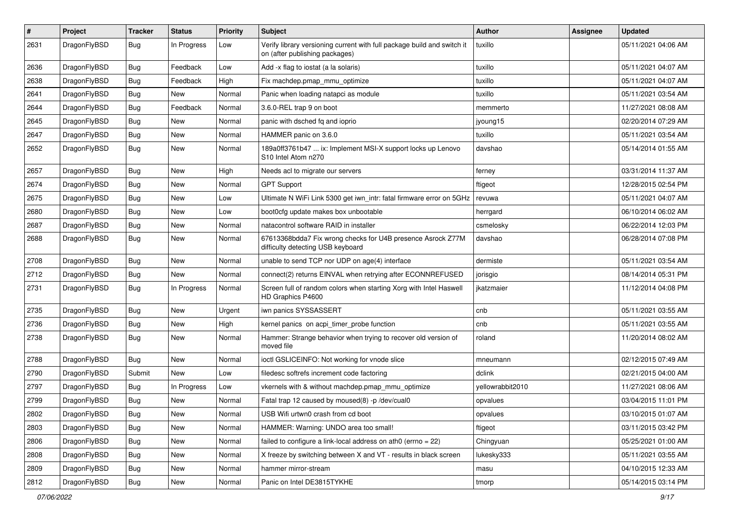| $\pmb{\#}$ | Project      | <b>Tracker</b> | <b>Status</b> | <b>Priority</b> | Subject                                                                                                   | Author           | Assignee | <b>Updated</b>      |
|------------|--------------|----------------|---------------|-----------------|-----------------------------------------------------------------------------------------------------------|------------------|----------|---------------------|
| 2631       | DragonFlyBSD | Bug            | In Progress   | Low             | Verify library versioning current with full package build and switch it<br>on (after publishing packages) | tuxillo          |          | 05/11/2021 04:06 AM |
| 2636       | DragonFlyBSD | <b>Bug</b>     | Feedback      | Low             | Add -x flag to iostat (a la solaris)                                                                      | tuxillo          |          | 05/11/2021 04:07 AM |
| 2638       | DragonFlyBSD | Bug            | Feedback      | High            | Fix machdep.pmap_mmu_optimize                                                                             | tuxillo          |          | 05/11/2021 04:07 AM |
| 2641       | DragonFlyBSD | Bug            | <b>New</b>    | Normal          | Panic when loading natapci as module                                                                      | tuxillo          |          | 05/11/2021 03:54 AM |
| 2644       | DragonFlyBSD | <b>Bug</b>     | Feedback      | Normal          | 3.6.0-REL trap 9 on boot                                                                                  | memmerto         |          | 11/27/2021 08:08 AM |
| 2645       | DragonFlyBSD | Bug            | New           | Normal          | panic with dsched fq and ioprio                                                                           | jyoung15         |          | 02/20/2014 07:29 AM |
| 2647       | DragonFlyBSD | Bug            | New           | Normal          | HAMMER panic on 3.6.0                                                                                     | tuxillo          |          | 05/11/2021 03:54 AM |
| 2652       | DragonFlyBSD | Bug            | New           | Normal          | 189a0ff3761b47  ix: Implement MSI-X support locks up Lenovo<br>S10 Intel Atom n270                        | davshao          |          | 05/14/2014 01:55 AM |
| 2657       | DragonFlyBSD | <b>Bug</b>     | <b>New</b>    | High            | Needs acl to migrate our servers                                                                          | ferney           |          | 03/31/2014 11:37 AM |
| 2674       | DragonFlyBSD | Bug            | New           | Normal          | <b>GPT Support</b>                                                                                        | ftigeot          |          | 12/28/2015 02:54 PM |
| 2675       | DragonFlyBSD | <b>Bug</b>     | <b>New</b>    | Low             | Ultimate N WiFi Link 5300 get iwn_intr: fatal firmware error on 5GHz                                      | revuwa           |          | 05/11/2021 04:07 AM |
| 2680       | DragonFlyBSD | <b>Bug</b>     | <b>New</b>    | Low             | boot0cfg update makes box unbootable                                                                      | herrgard         |          | 06/10/2014 06:02 AM |
| 2687       | DragonFlyBSD | Bug            | New           | Normal          | natacontrol software RAID in installer                                                                    | csmelosky        |          | 06/22/2014 12:03 PM |
| 2688       | DragonFlyBSD | Bug            | New           | Normal          | 67613368bdda7 Fix wrong checks for U4B presence Asrock Z77M<br>difficulty detecting USB keyboard          | davshao          |          | 06/28/2014 07:08 PM |
| 2708       | DragonFlyBSD | Bug            | <b>New</b>    | Normal          | unable to send TCP nor UDP on age(4) interface                                                            | dermiste         |          | 05/11/2021 03:54 AM |
| 2712       | DragonFlyBSD | Bug            | <b>New</b>    | Normal          | connect(2) returns EINVAL when retrying after ECONNREFUSED                                                | jorisgio         |          | 08/14/2014 05:31 PM |
| 2731       | DragonFlyBSD | Bug            | In Progress   | Normal          | Screen full of random colors when starting Xorg with Intel Haswell<br>HD Graphics P4600                   | jkatzmaier       |          | 11/12/2014 04:08 PM |
| 2735       | DragonFlyBSD | <b>Bug</b>     | <b>New</b>    | Urgent          | iwn panics SYSSASSERT                                                                                     | cnb              |          | 05/11/2021 03:55 AM |
| 2736       | DragonFlyBSD | Bug            | New           | High            | kernel panics on acpi_timer_probe function                                                                | cnb              |          | 05/11/2021 03:55 AM |
| 2738       | DragonFlyBSD | Bug            | New           | Normal          | Hammer: Strange behavior when trying to recover old version of<br>moved file                              | roland           |          | 11/20/2014 08:02 AM |
| 2788       | DragonFlyBSD | Bug            | <b>New</b>    | Normal          | ioctl GSLICEINFO: Not working for vnode slice                                                             | mneumann         |          | 02/12/2015 07:49 AM |
| 2790       | DragonFlyBSD | Submit         | New           | Low             | filedesc softrefs increment code factoring                                                                | dclink           |          | 02/21/2015 04:00 AM |
| 2797       | DragonFlyBSD | Bug            | In Progress   | Low             | vkernels with & without machdep.pmap_mmu_optimize                                                         | yellowrabbit2010 |          | 11/27/2021 08:06 AM |
| 2799       | DragonFlyBSD | Bug            | <b>New</b>    | Normal          | Fatal trap 12 caused by moused(8) -p /dev/cual0                                                           | opvalues         |          | 03/04/2015 11:01 PM |
| 2802       | DragonFlyBSD | <b>Bug</b>     | New           | Normal          | USB Wifi urtwn0 crash from cd boot                                                                        | opvalues         |          | 03/10/2015 01:07 AM |
| 2803       | DragonFlyBSD | <b>Bug</b>     | <b>New</b>    | Normal          | HAMMER: Warning: UNDO area too small!                                                                     | ftigeot          |          | 03/11/2015 03:42 PM |
| 2806       | DragonFlyBSD | <b>Bug</b>     | New           | Normal          | failed to configure a link-local address on ath0 (errno = 22)                                             | Chingyuan        |          | 05/25/2021 01:00 AM |
| 2808       | DragonFlyBSD | Bug            | New           | Normal          | X freeze by switching between X and VT - results in black screen                                          | lukesky333       |          | 05/11/2021 03:55 AM |
| 2809       | DragonFlyBSD | <b>Bug</b>     | New           | Normal          | hammer mirror-stream                                                                                      | masu             |          | 04/10/2015 12:33 AM |
| 2812       | DragonFlyBSD | Bug            | New           | Normal          | Panic on Intel DE3815TYKHE                                                                                | tmorp            |          | 05/14/2015 03:14 PM |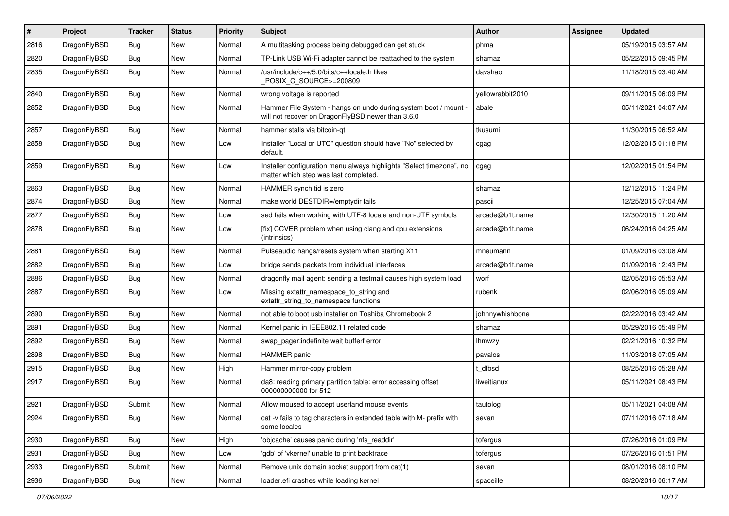| #    | Project      | <b>Tracker</b> | <b>Status</b> | <b>Priority</b> | Subject                                                                                                              | Author           | Assignee | <b>Updated</b>      |
|------|--------------|----------------|---------------|-----------------|----------------------------------------------------------------------------------------------------------------------|------------------|----------|---------------------|
| 2816 | DragonFlyBSD | <b>Bug</b>     | New           | Normal          | A multitasking process being debugged can get stuck                                                                  | phma             |          | 05/19/2015 03:57 AM |
| 2820 | DragonFlyBSD | Bug            | New           | Normal          | TP-Link USB Wi-Fi adapter cannot be reattached to the system                                                         | shamaz           |          | 05/22/2015 09:45 PM |
| 2835 | DragonFlyBSD | <b>Bug</b>     | New           | Normal          | /usr/include/c++/5.0/bits/c++locale.h likes<br>POSIX_C_SOURCE>=200809                                                | davshao          |          | 11/18/2015 03:40 AM |
| 2840 | DragonFlyBSD | Bug            | <b>New</b>    | Normal          | wrong voltage is reported                                                                                            | yellowrabbit2010 |          | 09/11/2015 06:09 PM |
| 2852 | DragonFlyBSD | <b>Bug</b>     | New           | Normal          | Hammer File System - hangs on undo during system boot / mount -<br>will not recover on DragonFlyBSD newer than 3.6.0 | abale            |          | 05/11/2021 04:07 AM |
| 2857 | DragonFlyBSD | Bug            | New           | Normal          | hammer stalls via bitcoin-qt                                                                                         | tkusumi          |          | 11/30/2015 06:52 AM |
| 2858 | DragonFlyBSD | <b>Bug</b>     | <b>New</b>    | Low             | Installer "Local or UTC" question should have "No" selected by<br>default.                                           | cgag             |          | 12/02/2015 01:18 PM |
| 2859 | DragonFlyBSD | Bug            | <b>New</b>    | Low             | Installer configuration menu always highlights "Select timezone", no<br>matter which step was last completed.        | cgag             |          | 12/02/2015 01:54 PM |
| 2863 | DragonFlyBSD | Bug            | <b>New</b>    | Normal          | HAMMER synch tid is zero                                                                                             | shamaz           |          | 12/12/2015 11:24 PM |
| 2874 | DragonFlyBSD | <b>Bug</b>     | New           | Normal          | make world DESTDIR=/emptydir fails                                                                                   | pascii           |          | 12/25/2015 07:04 AM |
| 2877 | DragonFlyBSD | Bug            | New           | Low             | sed fails when working with UTF-8 locale and non-UTF symbols                                                         | arcade@b1t.name  |          | 12/30/2015 11:20 AM |
| 2878 | DragonFlyBSD | Bug            | New           | Low             | [fix] CCVER problem when using clang and cpu extensions<br>(intrinsics)                                              | arcade@b1t.name  |          | 06/24/2016 04:25 AM |
| 2881 | DragonFlyBSD | Bug            | <b>New</b>    | Normal          | Pulseaudio hangs/resets system when starting X11                                                                     | mneumann         |          | 01/09/2016 03:08 AM |
| 2882 | DragonFlyBSD | <b>Bug</b>     | New           | Low             | bridge sends packets from individual interfaces                                                                      | arcade@b1t.name  |          | 01/09/2016 12:43 PM |
| 2886 | DragonFlyBSD | <b>Bug</b>     | New           | Normal          | dragonfly mail agent: sending a testmail causes high system load                                                     | worf             |          | 02/05/2016 05:53 AM |
| 2887 | DragonFlyBSD | Bug            | New           | Low             | Missing extattr_namespace_to_string and<br>extattr_string_to_namespace functions                                     | rubenk           |          | 02/06/2016 05:09 AM |
| 2890 | DragonFlyBSD | Bug            | <b>New</b>    | Normal          | not able to boot usb installer on Toshiba Chromebook 2                                                               | johnnywhishbone  |          | 02/22/2016 03:42 AM |
| 2891 | DragonFlyBSD | <b>Bug</b>     | New           | Normal          | Kernel panic in IEEE802.11 related code                                                                              | shamaz           |          | 05/29/2016 05:49 PM |
| 2892 | DragonFlyBSD | <b>Bug</b>     | New           | Normal          | swap_pager:indefinite wait bufferf error                                                                             | Ihmwzy           |          | 02/21/2016 10:32 PM |
| 2898 | DragonFlyBSD | Bug            | New           | Normal          | <b>HAMMER</b> panic                                                                                                  | pavalos          |          | 11/03/2018 07:05 AM |
| 2915 | DragonFlyBSD | <b>Bug</b>     | New           | High            | Hammer mirror-copy problem                                                                                           | t dfbsd          |          | 08/25/2016 05:28 AM |
| 2917 | DragonFlyBSD | <b>Bug</b>     | New           | Normal          | da8: reading primary partition table: error accessing offset<br>000000000000 for 512                                 | liweitianux      |          | 05/11/2021 08:43 PM |
| 2921 | DragonFlyBSD | Submit         | <b>New</b>    | Normal          | Allow moused to accept userland mouse events                                                                         | tautolog         |          | 05/11/2021 04:08 AM |
| 2924 | DragonFlyBSD | <b>Bug</b>     | New           | Normal          | cat -v fails to tag characters in extended table with M- prefix with<br>some locales                                 | sevan            |          | 07/11/2016 07:18 AM |
| 2930 | DragonFlyBSD | <b>Bug</b>     | New           | High            | 'objcache' causes panic during 'nfs_readdir'                                                                         | tofergus         |          | 07/26/2016 01:09 PM |
| 2931 | DragonFlyBSD | Bug            | New           | Low             | 'gdb' of 'vkernel' unable to print backtrace                                                                         | tofergus         |          | 07/26/2016 01:51 PM |
| 2933 | DragonFlyBSD | Submit         | New           | Normal          | Remove unix domain socket support from cat(1)                                                                        | sevan            |          | 08/01/2016 08:10 PM |
| 2936 | DragonFlyBSD | <b>Bug</b>     | New           | Normal          | loader.efi crashes while loading kernel                                                                              | spaceille        |          | 08/20/2016 06:17 AM |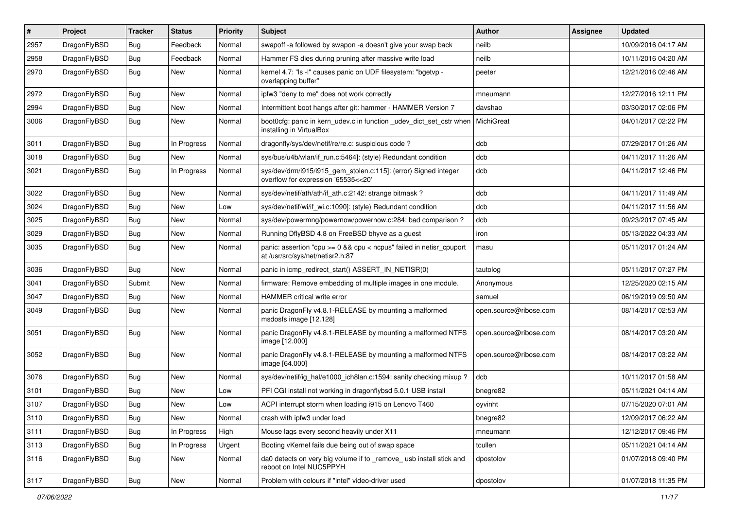| $\sharp$ | Project      | <b>Tracker</b> | <b>Status</b> | <b>Priority</b> | Subject                                                                                                 | Author                 | Assignee | <b>Updated</b>      |
|----------|--------------|----------------|---------------|-----------------|---------------------------------------------------------------------------------------------------------|------------------------|----------|---------------------|
| 2957     | DragonFlyBSD | <b>Bug</b>     | Feedback      | Normal          | swapoff -a followed by swapon -a doesn't give your swap back                                            | neilb                  |          | 10/09/2016 04:17 AM |
| 2958     | DragonFlyBSD | Bug            | Feedback      | Normal          | Hammer FS dies during pruning after massive write load                                                  | neilb                  |          | 10/11/2016 04:20 AM |
| 2970     | DragonFlyBSD | <b>Bug</b>     | New           | Normal          | kernel 4.7: "Is -I" causes panic on UDF filesystem: "bgetvp -<br>overlapping buffer"                    | peeter                 |          | 12/21/2016 02:46 AM |
| 2972     | DragonFlyBSD | Bug            | <b>New</b>    | Normal          | ipfw3 "deny to me" does not work correctly                                                              | mneumann               |          | 12/27/2016 12:11 PM |
| 2994     | DragonFlyBSD | <b>Bug</b>     | <b>New</b>    | Normal          | Intermittent boot hangs after git: hammer - HAMMER Version 7                                            | davshao                |          | 03/30/2017 02:06 PM |
| 3006     | DragonFlyBSD | <b>Bug</b>     | <b>New</b>    | Normal          | boot0cfg: panic in kern_udev.c in function _udev_dict_set_cstr when<br>installing in VirtualBox         | MichiGreat             |          | 04/01/2017 02:22 PM |
| 3011     | DragonFlyBSD | Bug            | In Progress   | Normal          | dragonfly/sys/dev/netif/re/re.c: suspicious code ?                                                      | dcb                    |          | 07/29/2017 01:26 AM |
| 3018     | DragonFlyBSD | Bug            | New           | Normal          | sys/bus/u4b/wlan/if_run.c:5464]: (style) Redundant condition                                            | dcb                    |          | 04/11/2017 11:26 AM |
| 3021     | DragonFlyBSD | Bug            | In Progress   | Normal          | sys/dev/drm/i915/i915_gem_stolen.c:115]: (error) Signed integer<br>overflow for expression '65535<<20'  | dcb                    |          | 04/11/2017 12:46 PM |
| 3022     | DragonFlyBSD | Bug            | <b>New</b>    | Normal          | sys/dev/netif/ath/ath/if_ath.c:2142: strange bitmask?                                                   | dcb                    |          | 04/11/2017 11:49 AM |
| 3024     | DragonFlyBSD | <b>Bug</b>     | New           | Low             | sys/dev/netif/wi/if_wi.c:1090]: (style) Redundant condition                                             | dcb                    |          | 04/11/2017 11:56 AM |
| 3025     | DragonFlyBSD | <b>Bug</b>     | <b>New</b>    | Normal          | sys/dev/powermng/powernow/powernow.c:284: bad comparison ?                                              | dcb                    |          | 09/23/2017 07:45 AM |
| 3029     | DragonFlyBSD | <b>Bug</b>     | <b>New</b>    | Normal          | Running DflyBSD 4.8 on FreeBSD bhyve as a guest                                                         | iron                   |          | 05/13/2022 04:33 AM |
| 3035     | DragonFlyBSD | <b>Bug</b>     | New           | Normal          | panic: assertion "cpu >= 0 && cpu < ncpus" failed in netisr_cpuport<br>at /usr/src/sys/net/netisr2.h:87 | masu                   |          | 05/11/2017 01:24 AM |
| 3036     | DragonFlyBSD | Bug            | <b>New</b>    | Normal          | panic in icmp_redirect_start() ASSERT_IN_NETISR(0)                                                      | tautolog               |          | 05/11/2017 07:27 PM |
| 3041     | DragonFlyBSD | Submit         | New           | Normal          | firmware: Remove embedding of multiple images in one module.                                            | Anonymous              |          | 12/25/2020 02:15 AM |
| 3047     | DragonFlyBSD | Bug            | <b>New</b>    | Normal          | <b>HAMMER</b> critical write error                                                                      | samuel                 |          | 06/19/2019 09:50 AM |
| 3049     | DragonFlyBSD | Bug            | New           | Normal          | panic DragonFly v4.8.1-RELEASE by mounting a malformed<br>msdosfs image [12.128]                        | open.source@ribose.com |          | 08/14/2017 02:53 AM |
| 3051     | DragonFlyBSD | Bug            | New           | Normal          | panic DragonFly v4.8.1-RELEASE by mounting a malformed NTFS<br>image [12.000]                           | open.source@ribose.com |          | 08/14/2017 03:20 AM |
| 3052     | DragonFlyBSD | <b>Bug</b>     | New           | Normal          | panic DragonFly v4.8.1-RELEASE by mounting a malformed NTFS<br>image [64.000]                           | open.source@ribose.com |          | 08/14/2017 03:22 AM |
| 3076     | DragonFlyBSD | Bug            | <b>New</b>    | Normal          | sys/dev/netif/ig_hal/e1000_ich8lan.c:1594: sanity checking mixup?                                       | dcb                    |          | 10/11/2017 01:58 AM |
| 3101     | DragonFlyBSD | Bug            | <b>New</b>    | Low             | PFI CGI install not working in dragonflybsd 5.0.1 USB install                                           | bnegre82               |          | 05/11/2021 04:14 AM |
| 3107     | DragonFlyBSD | Bug            | New           | Low             | ACPI interrupt storm when loading i915 on Lenovo T460                                                   | oyvinht                |          | 07/15/2020 07:01 AM |
| 3110     | DragonFlyBSD | <b>Bug</b>     | New           | Normal          | crash with ipfw3 under load                                                                             | bnegre82               |          | 12/09/2017 06:22 AM |
| 3111     | DragonFlyBSD | <b>Bug</b>     | In Progress   | High            | Mouse lags every second heavily under X11                                                               | mneumann               |          | 12/12/2017 09:46 PM |
| 3113     | DragonFlyBSD | Bug            | In Progress   | Urgent          | Booting vKernel fails due being out of swap space                                                       | tcullen                |          | 05/11/2021 04:14 AM |
| 3116     | DragonFlyBSD | Bug            | New           | Normal          | da0 detects on very big volume if to _remove_ usb install stick and<br>reboot on Intel NUC5PPYH         | dpostolov              |          | 01/07/2018 09:40 PM |
| 3117     | DragonFlyBSD | <b>Bug</b>     | New           | Normal          | Problem with colours if "intel" video-driver used                                                       | dpostolov              |          | 01/07/2018 11:35 PM |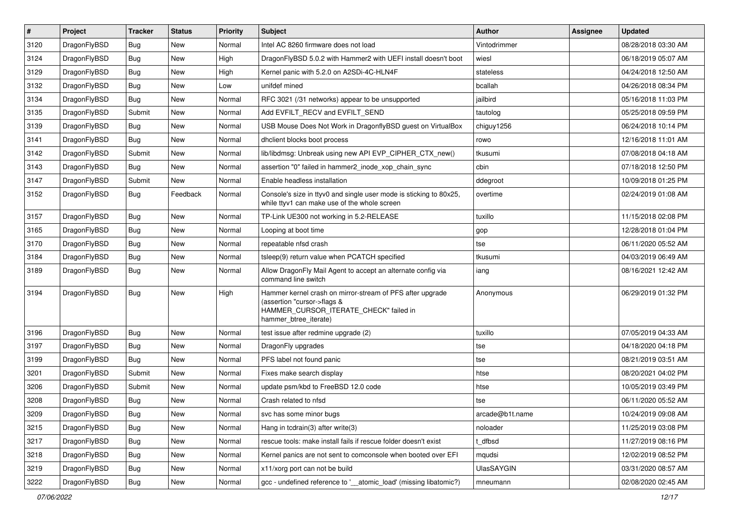| $\sharp$ | Project      | <b>Tracker</b> | <b>Status</b> | Priority | Subject                                                                                                                                                     | <b>Author</b>     | Assignee | <b>Updated</b>      |
|----------|--------------|----------------|---------------|----------|-------------------------------------------------------------------------------------------------------------------------------------------------------------|-------------------|----------|---------------------|
| 3120     | DragonFlyBSD | Bug            | New           | Normal   | Intel AC 8260 firmware does not load                                                                                                                        | Vintodrimmer      |          | 08/28/2018 03:30 AM |
| 3124     | DragonFlyBSD | Bug            | <b>New</b>    | High     | DragonFlyBSD 5.0.2 with Hammer2 with UEFI install doesn't boot                                                                                              | wiesl             |          | 06/18/2019 05:07 AM |
| 3129     | DragonFlyBSD | <b>Bug</b>     | New           | High     | Kernel panic with 5.2.0 on A2SDi-4C-HLN4F                                                                                                                   | stateless         |          | 04/24/2018 12:50 AM |
| 3132     | DragonFlyBSD | Bug            | <b>New</b>    | Low      | unifdef mined                                                                                                                                               | bcallah           |          | 04/26/2018 08:34 PM |
| 3134     | DragonFlyBSD | Bug            | <b>New</b>    | Normal   | RFC 3021 (/31 networks) appear to be unsupported                                                                                                            | jailbird          |          | 05/16/2018 11:03 PM |
| 3135     | DragonFlyBSD | Submit         | <b>New</b>    | Normal   | Add EVFILT_RECV and EVFILT_SEND                                                                                                                             | tautolog          |          | 05/25/2018 09:59 PM |
| 3139     | DragonFlyBSD | Bug            | New           | Normal   | USB Mouse Does Not Work in DragonflyBSD guest on VirtualBox                                                                                                 | chiguy1256        |          | 06/24/2018 10:14 PM |
| 3141     | DragonFlyBSD | Bug            | <b>New</b>    | Normal   | dhclient blocks boot process                                                                                                                                | rowo              |          | 12/16/2018 11:01 AM |
| 3142     | DragonFlyBSD | Submit         | <b>New</b>    | Normal   | lib/libdmsg: Unbreak using new API EVP_CIPHER_CTX_new()                                                                                                     | tkusumi           |          | 07/08/2018 04:18 AM |
| 3143     | DragonFlyBSD | Bug            | New           | Normal   | assertion "0" failed in hammer2_inode_xop_chain_sync                                                                                                        | cbin              |          | 07/18/2018 12:50 PM |
| 3147     | DragonFlyBSD | Submit         | <b>New</b>    | Normal   | Enable headless installation                                                                                                                                | ddegroot          |          | 10/09/2018 01:25 PM |
| 3152     | DragonFlyBSD | Bug            | Feedback      | Normal   | Console's size in ttyv0 and single user mode is sticking to 80x25,<br>while ttyv1 can make use of the whole screen                                          | overtime          |          | 02/24/2019 01:08 AM |
| 3157     | DragonFlyBSD | <b>Bug</b>     | New           | Normal   | TP-Link UE300 not working in 5.2-RELEASE                                                                                                                    | tuxillo           |          | 11/15/2018 02:08 PM |
| 3165     | DragonFlyBSD | Bug            | <b>New</b>    | Normal   | Looping at boot time                                                                                                                                        | gop               |          | 12/28/2018 01:04 PM |
| 3170     | DragonFlyBSD | <b>Bug</b>     | New           | Normal   | repeatable nfsd crash                                                                                                                                       | tse               |          | 06/11/2020 05:52 AM |
| 3184     | DragonFlyBSD | <b>Bug</b>     | <b>New</b>    | Normal   | tsleep(9) return value when PCATCH specified                                                                                                                | tkusumi           |          | 04/03/2019 06:49 AM |
| 3189     | DragonFlyBSD | Bug            | New           | Normal   | Allow DragonFly Mail Agent to accept an alternate config via<br>command line switch                                                                         | iang              |          | 08/16/2021 12:42 AM |
| 3194     | DragonFlyBSD | Bug            | New           | High     | Hammer kernel crash on mirror-stream of PFS after upgrade<br>(assertion "cursor->flags &<br>HAMMER_CURSOR_ITERATE_CHECK" failed in<br>hammer_btree_iterate) | Anonymous         |          | 06/29/2019 01:32 PM |
| 3196     | DragonFlyBSD | Bug            | <b>New</b>    | Normal   | test issue after redmine upgrade (2)                                                                                                                        | tuxillo           |          | 07/05/2019 04:33 AM |
| 3197     | DragonFlyBSD | Bug            | <b>New</b>    | Normal   | DragonFly upgrades                                                                                                                                          | tse               |          | 04/18/2020 04:18 PM |
| 3199     | DragonFlyBSD | Bug            | New           | Normal   | PFS label not found panic                                                                                                                                   | tse               |          | 08/21/2019 03:51 AM |
| 3201     | DragonFlyBSD | Submit         | New           | Normal   | Fixes make search display                                                                                                                                   | htse              |          | 08/20/2021 04:02 PM |
| 3206     | DragonFlyBSD | Submit         | New           | Normal   | update psm/kbd to FreeBSD 12.0 code                                                                                                                         | htse              |          | 10/05/2019 03:49 PM |
| 3208     | DragonFlyBSD | Bug            | New           | Normal   | Crash related to nfsd                                                                                                                                       | tse               |          | 06/11/2020 05:52 AM |
| 3209     | DragonFlyBSD | <b>Bug</b>     | <b>New</b>    | Normal   | svc has some minor bugs                                                                                                                                     | arcade@b1t.name   |          | 10/24/2019 09:08 AM |
| 3215     | DragonFlyBSD | <b>Bug</b>     | <b>New</b>    | Normal   | Hang in tcdrain(3) after write(3)                                                                                                                           | noloader          |          | 11/25/2019 03:08 PM |
| 3217     | DragonFlyBSD | <b>Bug</b>     | New           | Normal   | rescue tools: make install fails if rescue folder doesn't exist                                                                                             | t dfbsd           |          | 11/27/2019 08:16 PM |
| 3218     | DragonFlyBSD | <b>Bug</b>     | New           | Normal   | Kernel panics are not sent to comconsole when booted over EFI                                                                                               | mqudsi            |          | 12/02/2019 08:52 PM |
| 3219     | DragonFlyBSD | <b>Bug</b>     | New           | Normal   | x11/xorg port can not be build                                                                                                                              | <b>UlasSAYGIN</b> |          | 03/31/2020 08:57 AM |
| 3222     | DragonFlyBSD | <b>Bug</b>     | New           | Normal   | gcc - undefined reference to '__atomic_load' (missing libatomic?)                                                                                           | mneumann          |          | 02/08/2020 02:45 AM |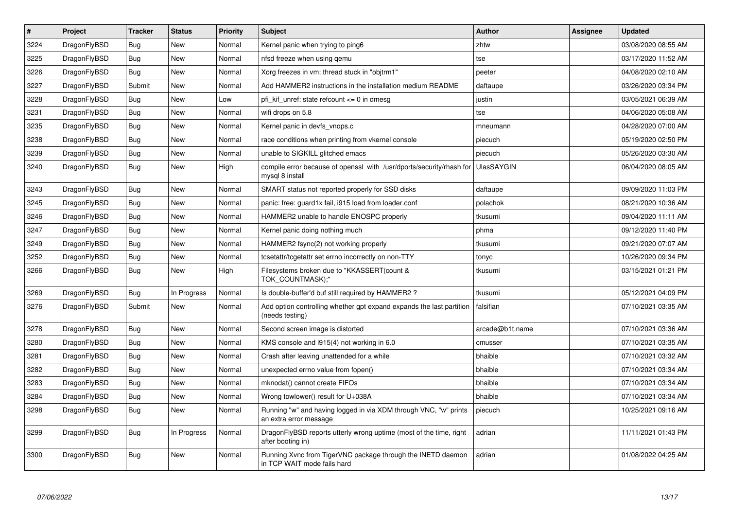| $\sharp$ | Project      | <b>Tracker</b> | <b>Status</b> | <b>Priority</b> | <b>Subject</b>                                                                             | <b>Author</b>     | Assignee | <b>Updated</b>      |
|----------|--------------|----------------|---------------|-----------------|--------------------------------------------------------------------------------------------|-------------------|----------|---------------------|
| 3224     | DragonFlyBSD | Bug            | New           | Normal          | Kernel panic when trying to ping6                                                          | zhtw              |          | 03/08/2020 08:55 AM |
| 3225     | DragonFlyBSD | <b>Bug</b>     | New           | Normal          | nfsd freeze when using gemu                                                                | tse               |          | 03/17/2020 11:52 AM |
| 3226     | DragonFlyBSD | Bug            | New           | Normal          | Xorg freezes in vm: thread stuck in "objtrm1"                                              | peeter            |          | 04/08/2020 02:10 AM |
| 3227     | DragonFlyBSD | Submit         | <b>New</b>    | Normal          | Add HAMMER2 instructions in the installation medium README                                 | daftaupe          |          | 03/26/2020 03:34 PM |
| 3228     | DragonFlyBSD | <b>Bug</b>     | <b>New</b>    | Low             | pfi kif unref: state refcount $\leq$ 0 in dmesg                                            | justin            |          | 03/05/2021 06:39 AM |
| 3231     | DragonFlyBSD | Bug            | <b>New</b>    | Normal          | wifi drops on 5.8                                                                          | tse               |          | 04/06/2020 05:08 AM |
| 3235     | DragonFlyBSD | <b>Bug</b>     | <b>New</b>    | Normal          | Kernel panic in devfs_vnops.c                                                              | mneumann          |          | 04/28/2020 07:00 AM |
| 3238     | DragonFlyBSD | Bug            | <b>New</b>    | Normal          | race conditions when printing from vkernel console                                         | piecuch           |          | 05/19/2020 02:50 PM |
| 3239     | DragonFlyBSD | <b>Bug</b>     | <b>New</b>    | Normal          | unable to SIGKILL glitched emacs                                                           | piecuch           |          | 05/26/2020 03:30 AM |
| 3240     | DragonFlyBSD | Bug            | New           | High            | compile error because of openssl with /usr/dports/security/rhash for<br>mysql 8 install    | <b>UlasSAYGIN</b> |          | 06/04/2020 08:05 AM |
| 3243     | DragonFlyBSD | <b>Bug</b>     | New           | Normal          | SMART status not reported properly for SSD disks                                           | daftaupe          |          | 09/09/2020 11:03 PM |
| 3245     | DragonFlyBSD | Bug            | New           | Normal          | panic: free: guard1x fail, i915 load from loader.conf                                      | polachok          |          | 08/21/2020 10:36 AM |
| 3246     | DragonFlyBSD | <b>Bug</b>     | New           | Normal          | HAMMER2 unable to handle ENOSPC properly                                                   | tkusumi           |          | 09/04/2020 11:11 AM |
| 3247     | DragonFlyBSD | <b>Bug</b>     | <b>New</b>    | Normal          | Kernel panic doing nothing much                                                            | phma              |          | 09/12/2020 11:40 PM |
| 3249     | DragonFlyBSD | <b>Bug</b>     | <b>New</b>    | Normal          | HAMMER2 fsync(2) not working properly                                                      | tkusumi           |          | 09/21/2020 07:07 AM |
| 3252     | DragonFlyBSD | <b>Bug</b>     | <b>New</b>    | Normal          | tcsetattr/tcgetattr set errno incorrectly on non-TTY                                       | tonyc             |          | 10/26/2020 09:34 PM |
| 3266     | DragonFlyBSD | Bug            | New           | High            | Filesystems broken due to "KKASSERT(count &<br>TOK_COUNTMASK);"                            | tkusumi           |          | 03/15/2021 01:21 PM |
| 3269     | DragonFlyBSD | Bug            | In Progress   | Normal          | Is double-buffer'd buf still required by HAMMER2?                                          | tkusumi           |          | 05/12/2021 04:09 PM |
| 3276     | DragonFlyBSD | Submit         | <b>New</b>    | Normal          | Add option controlling whether gpt expand expands the last partition<br>(needs testing)    | falsifian         |          | 07/10/2021 03:35 AM |
| 3278     | DragonFlyBSD | Bug            | <b>New</b>    | Normal          | Second screen image is distorted                                                           | arcade@b1t.name   |          | 07/10/2021 03:36 AM |
| 3280     | DragonFlyBSD | <b>Bug</b>     | New           | Normal          | KMS console and i915(4) not working in 6.0                                                 | cmusser           |          | 07/10/2021 03:35 AM |
| 3281     | DragonFlyBSD | <b>Bug</b>     | <b>New</b>    | Normal          | Crash after leaving unattended for a while                                                 | bhaible           |          | 07/10/2021 03:32 AM |
| 3282     | DragonFlyBSD | <b>Bug</b>     | <b>New</b>    | Normal          | unexpected errno value from fopen()                                                        | bhaible           |          | 07/10/2021 03:34 AM |
| 3283     | DragonFlyBSD | <b>Bug</b>     | New           | Normal          | mknodat() cannot create FIFOs                                                              | bhaible           |          | 07/10/2021 03:34 AM |
| 3284     | DragonFlyBSD | Bug            | New           | Normal          | Wrong towlower() result for U+038A                                                         | bhaible           |          | 07/10/2021 03:34 AM |
| 3298     | DragonFlyBSD | <b>Bug</b>     | New           | Normal          | Running "w" and having logged in via XDM through VNC, "w" prints<br>an extra error message | piecuch           |          | 10/25/2021 09:16 AM |
| 3299     | DragonFlyBSD | <b>Bug</b>     | In Progress   | Normal          | DragonFlyBSD reports utterly wrong uptime (most of the time, right<br>after booting in)    | adrian            |          | 11/11/2021 01:43 PM |
| 3300     | DragonFlyBSD | Bug            | <b>New</b>    | Normal          | Running Xvnc from TigerVNC package through the INETD daemon<br>in TCP WAIT mode fails hard | adrian            |          | 01/08/2022 04:25 AM |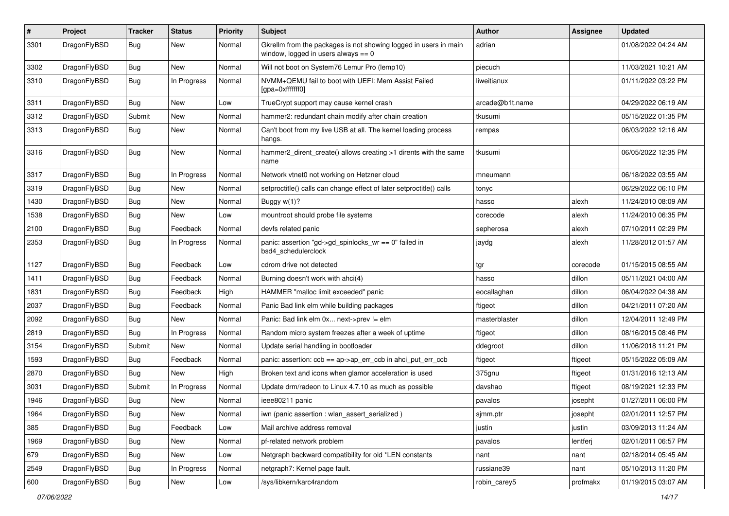| $\pmb{\#}$ | Project      | <b>Tracker</b> | <b>Status</b> | <b>Priority</b> | Subject                                                                                                   | <b>Author</b>   | Assignee | <b>Updated</b>      |
|------------|--------------|----------------|---------------|-----------------|-----------------------------------------------------------------------------------------------------------|-----------------|----------|---------------------|
| 3301       | DragonFlyBSD | Bug            | New           | Normal          | Gkrellm from the packages is not showing logged in users in main<br>window, logged in users always $== 0$ | adrian          |          | 01/08/2022 04:24 AM |
| 3302       | DragonFlyBSD | <b>Bug</b>     | <b>New</b>    | Normal          | Will not boot on System76 Lemur Pro (lemp10)                                                              | piecuch         |          | 11/03/2021 10:21 AM |
| 3310       | DragonFlyBSD | Bug            | In Progress   | Normal          | NVMM+QEMU fail to boot with UEFI: Mem Assist Failed<br>[gpa=0xfffffff0]                                   | liweitianux     |          | 01/11/2022 03:22 PM |
| 3311       | DragonFlyBSD | <b>Bug</b>     | <b>New</b>    | Low             | TrueCrypt support may cause kernel crash                                                                  | arcade@b1t.name |          | 04/29/2022 06:19 AM |
| 3312       | DragonFlyBSD | Submit         | New           | Normal          | hammer2: redundant chain modify after chain creation                                                      | tkusumi         |          | 05/15/2022 01:35 PM |
| 3313       | DragonFlyBSD | Bug            | New           | Normal          | Can't boot from my live USB at all. The kernel loading process<br>hangs.                                  | rempas          |          | 06/03/2022 12:16 AM |
| 3316       | DragonFlyBSD | Bug            | New           | Normal          | hammer2_dirent_create() allows creating >1 dirents with the same<br>name                                  | tkusumi         |          | 06/05/2022 12:35 PM |
| 3317       | DragonFlyBSD | Bug            | In Progress   | Normal          | Network vtnet0 not working on Hetzner cloud                                                               | mneumann        |          | 06/18/2022 03:55 AM |
| 3319       | DragonFlyBSD | Bug            | New           | Normal          | setproctitle() calls can change effect of later setproctitle() calls                                      | tonyc           |          | 06/29/2022 06:10 PM |
| 1430       | DragonFlyBSD | Bug            | New           | Normal          | Buggy $w(1)$ ?                                                                                            | hasso           | alexh    | 11/24/2010 08:09 AM |
| 1538       | DragonFlyBSD | Bug            | New           | Low             | mountroot should probe file systems                                                                       | corecode        | alexh    | 11/24/2010 06:35 PM |
| 2100       | DragonFlyBSD | Bug            | Feedback      | Normal          | devfs related panic                                                                                       | sepherosa       | alexh    | 07/10/2011 02:29 PM |
| 2353       | DragonFlyBSD | Bug            | In Progress   | Normal          | panic: assertion "gd->gd_spinlocks_wr == 0" failed in<br>bsd4_schedulerclock                              | jaydg           | alexh    | 11/28/2012 01:57 AM |
| 1127       | DragonFlyBSD | <b>Bug</b>     | Feedback      | Low             | cdrom drive not detected                                                                                  | tgr             | corecode | 01/15/2015 08:55 AM |
| 1411       | DragonFlyBSD | Bug            | Feedback      | Normal          | Burning doesn't work with ahci(4)                                                                         | hasso           | dillon   | 05/11/2021 04:00 AM |
| 1831       | DragonFlyBSD | Bug            | Feedback      | High            | HAMMER "malloc limit exceeded" panic                                                                      | eocallaghan     | dillon   | 06/04/2022 04:38 AM |
| 2037       | DragonFlyBSD | <b>Bug</b>     | Feedback      | Normal          | Panic Bad link elm while building packages                                                                | ftigeot         | dillon   | 04/21/2011 07:20 AM |
| 2092       | DragonFlyBSD | Bug            | <b>New</b>    | Normal          | Panic: Bad link elm 0x next->prev != elm                                                                  | masterblaster   | dillon   | 12/04/2011 12:49 PM |
| 2819       | DragonFlyBSD | Bug            | In Progress   | Normal          | Random micro system freezes after a week of uptime                                                        | ftigeot         | dillon   | 08/16/2015 08:46 PM |
| 3154       | DragonFlyBSD | Submit         | New           | Normal          | Update serial handling in bootloader                                                                      | ddegroot        | dillon   | 11/06/2018 11:21 PM |
| 1593       | DragonFlyBSD | Bug            | Feedback      | Normal          | panic: assertion: ccb == ap->ap_err_ccb in ahci_put_err_ccb                                               | ftigeot         | ftigeot  | 05/15/2022 05:09 AM |
| 2870       | DragonFlyBSD | Bug            | New           | High            | Broken text and icons when glamor acceleration is used                                                    | 375gnu          | ftigeot  | 01/31/2016 12:13 AM |
| 3031       | DragonFlyBSD | Submit         | In Progress   | Normal          | Update drm/radeon to Linux 4.7.10 as much as possible                                                     | davshao         | ftigeot  | 08/19/2021 12:33 PM |
| 1946       | DragonFlyBSD | Bug            | New           | Normal          | ieee80211 panic                                                                                           | pavalos         | josepht  | 01/27/2011 06:00 PM |
| 1964       | DragonFlyBSD | <b>Bug</b>     | New           | Normal          | iwn (panic assertion : wlan_assert_serialized)                                                            | sjmm.ptr        | josepht  | 02/01/2011 12:57 PM |
| 385        | DragonFlyBSD | Bug            | Feedback      | Low             | Mail archive address removal                                                                              | justin          | justin   | 03/09/2013 11:24 AM |
| 1969       | DragonFlyBSD | <b>Bug</b>     | New           | Normal          | pf-related network problem                                                                                | pavalos         | lentferj | 02/01/2011 06:57 PM |
| 679        | DragonFlyBSD | <b>Bug</b>     | New           | Low             | Netgraph backward compatibility for old *LEN constants                                                    | nant            | nant     | 02/18/2014 05:45 AM |
| 2549       | DragonFlyBSD | Bug            | In Progress   | Normal          | netgraph7: Kernel page fault.                                                                             | russiane39      | nant     | 05/10/2013 11:20 PM |
| 600        | DragonFlyBSD | <b>Bug</b>     | New           | Low             | /sys/libkern/karc4random                                                                                  | robin_carey5    | profmakx | 01/19/2015 03:07 AM |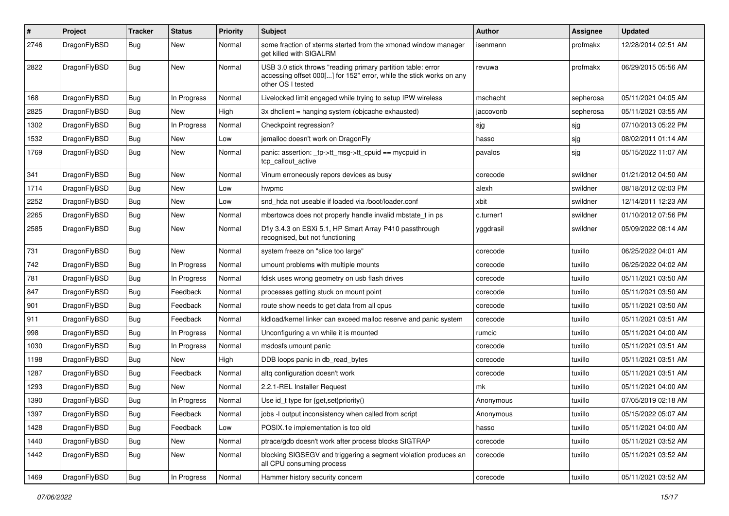| #    | Project      | <b>Tracker</b> | <b>Status</b> | <b>Priority</b> | Subject                                                                                                                                                  | <b>Author</b> | <b>Assignee</b> | <b>Updated</b>      |
|------|--------------|----------------|---------------|-----------------|----------------------------------------------------------------------------------------------------------------------------------------------------------|---------------|-----------------|---------------------|
| 2746 | DragonFlyBSD | Bug            | New           | Normal          | some fraction of xterms started from the xmonad window manager<br>get killed with SIGALRM                                                                | isenmann      | profmakx        | 12/28/2014 02:51 AM |
| 2822 | DragonFlyBSD | Bug            | New           | Normal          | USB 3.0 stick throws "reading primary partition table: error<br>accessing offset 000[] for 152" error, while the stick works on any<br>other OS I tested | revuwa        | profmakx        | 06/29/2015 05:56 AM |
| 168  | DragonFlyBSD | Bug            | In Progress   | Normal          | Livelocked limit engaged while trying to setup IPW wireless                                                                                              | mschacht      | sepherosa       | 05/11/2021 04:05 AM |
| 2825 | DragonFlyBSD | Bug            | New           | High            | 3x dhclient = hanging system (objcache exhausted)                                                                                                        | jaccovonb     | sepherosa       | 05/11/2021 03:55 AM |
| 1302 | DragonFlyBSD | Bug            | In Progress   | Normal          | Checkpoint regression?                                                                                                                                   | sjg           | sjg             | 07/10/2013 05:22 PM |
| 1532 | DragonFlyBSD | Bug            | New           | Low             | jemalloc doesn't work on DragonFly                                                                                                                       | hasso         | sjg             | 08/02/2011 01:14 AM |
| 1769 | DragonFlyBSD | <b>Bug</b>     | New           | Normal          | panic: assertion: _tp->tt_msg->tt_cpuid == mycpuid in<br>tcp callout active                                                                              | pavalos       | sjg             | 05/15/2022 11:07 AM |
| 341  | DragonFlyBSD | Bug            | New           | Normal          | Vinum erroneously repors devices as busy                                                                                                                 | corecode      | swildner        | 01/21/2012 04:50 AM |
| 1714 | DragonFlyBSD | Bug            | New           | Low             | hwpmc                                                                                                                                                    | alexh         | swildner        | 08/18/2012 02:03 PM |
| 2252 | DragonFlyBSD | Bug            | New           | Low             | snd hda not useable if loaded via /boot/loader.conf                                                                                                      | xbit          | swildner        | 12/14/2011 12:23 AM |
| 2265 | DragonFlyBSD | Bug            | <b>New</b>    | Normal          | mbsrtowcs does not properly handle invalid mbstate_t in ps                                                                                               | c.turner1     | swildner        | 01/10/2012 07:56 PM |
| 2585 | DragonFlyBSD | Bug            | New           | Normal          | Dfly 3.4.3 on ESXi 5.1, HP Smart Array P410 passthrough<br>recognised, but not functioning                                                               | yggdrasil     | swildner        | 05/09/2022 08:14 AM |
| 731  | DragonFlyBSD | Bug            | New           | Normal          | system freeze on "slice too large"                                                                                                                       | corecode      | tuxillo         | 06/25/2022 04:01 AM |
| 742  | DragonFlyBSD | Bug            | In Progress   | Normal          | umount problems with multiple mounts                                                                                                                     | corecode      | tuxillo         | 06/25/2022 04:02 AM |
| 781  | DragonFlyBSD | <b>Bug</b>     | In Progress   | Normal          | fdisk uses wrong geometry on usb flash drives                                                                                                            | corecode      | tuxillo         | 05/11/2021 03:50 AM |
| 847  | DragonFlyBSD | Bug            | Feedback      | Normal          | processes getting stuck on mount point                                                                                                                   | corecode      | tuxillo         | 05/11/2021 03:50 AM |
| 901  | DragonFlyBSD | Bug            | Feedback      | Normal          | route show needs to get data from all cpus                                                                                                               | corecode      | tuxillo         | 05/11/2021 03:50 AM |
| 911  | DragonFlyBSD | Bug            | Feedback      | Normal          | kidload/kernel linker can exceed malloc reserve and panic system                                                                                         | corecode      | tuxillo         | 05/11/2021 03:51 AM |
| 998  | DragonFlyBSD | Bug            | In Progress   | Normal          | Unconfiguring a vn while it is mounted                                                                                                                   | rumcic        | tuxillo         | 05/11/2021 04:00 AM |
| 1030 | DragonFlyBSD | <b>Bug</b>     | In Progress   | Normal          | msdosfs umount panic                                                                                                                                     | corecode      | tuxillo         | 05/11/2021 03:51 AM |
| 1198 | DragonFlyBSD | Bug            | New           | High            | DDB loops panic in db_read_bytes                                                                                                                         | corecode      | tuxillo         | 05/11/2021 03:51 AM |
| 1287 | DragonFlyBSD | Bug            | Feedback      | Normal          | altg configuration doesn't work                                                                                                                          | corecode      | tuxillo         | 05/11/2021 03:51 AM |
| 1293 | DragonFlyBSD | Bug            | New           | Normal          | 2.2.1-REL Installer Request                                                                                                                              | mk            | tuxillo         | 05/11/2021 04:00 AM |
| 1390 | DragonFlyBSD | <b>Bug</b>     | In Progress   | Normal          | Use id_t type for {get,set}priority()                                                                                                                    | Anonymous     | tuxillo         | 07/05/2019 02:18 AM |
| 1397 | DragonFlyBSD | <b>Bug</b>     | Feedback      | Normal          | jobs -I output inconsistency when called from script                                                                                                     | Anonymous     | tuxillo         | 05/15/2022 05:07 AM |
| 1428 | DragonFlyBSD | <b>Bug</b>     | Feedback      | Low             | POSIX.1e implementation is too old                                                                                                                       | hasso         | tuxillo         | 05/11/2021 04:00 AM |
| 1440 | DragonFlyBSD | <b>Bug</b>     | New           | Normal          | ptrace/gdb doesn't work after process blocks SIGTRAP                                                                                                     | corecode      | tuxillo         | 05/11/2021 03:52 AM |
| 1442 | DragonFlyBSD | <b>Bug</b>     | New           | Normal          | blocking SIGSEGV and triggering a segment violation produces an<br>all CPU consuming process                                                             | corecode      | tuxillo         | 05/11/2021 03:52 AM |
| 1469 | DragonFlyBSD | <b>Bug</b>     | In Progress   | Normal          | Hammer history security concern                                                                                                                          | corecode      | tuxillo         | 05/11/2021 03:52 AM |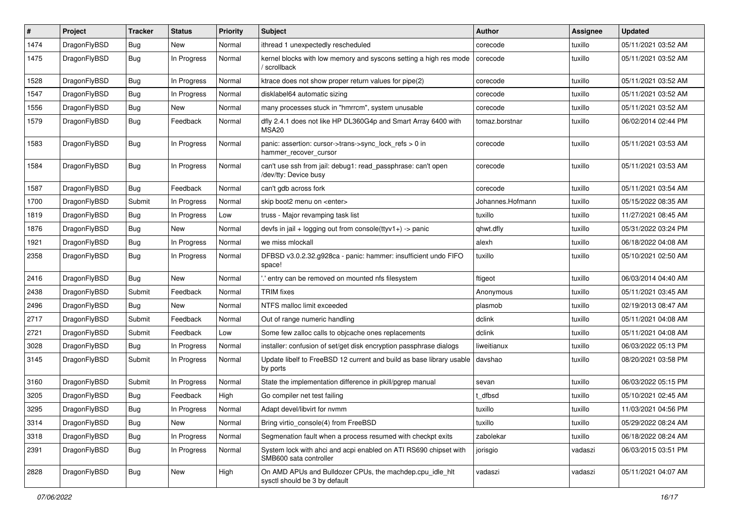| ∦    | Project      | <b>Tracker</b> | <b>Status</b> | <b>Priority</b> | Subject                                                                                    | <b>Author</b>    | <b>Assignee</b> | <b>Updated</b>      |
|------|--------------|----------------|---------------|-----------------|--------------------------------------------------------------------------------------------|------------------|-----------------|---------------------|
| 1474 | DragonFlyBSD | Bug            | New           | Normal          | ithread 1 unexpectedly rescheduled                                                         | corecode         | tuxillo         | 05/11/2021 03:52 AM |
| 1475 | DragonFlyBSD | Bug            | In Progress   | Normal          | kernel blocks with low memory and syscons setting a high res mode<br>/ scrollback          | corecode         | tuxillo         | 05/11/2021 03:52 AM |
| 1528 | DragonFlyBSD | Bug            | In Progress   | Normal          | ktrace does not show proper return values for pipe(2)                                      | corecode         | tuxillo         | 05/11/2021 03:52 AM |
| 1547 | DragonFlyBSD | <b>Bug</b>     | In Progress   | Normal          | disklabel64 automatic sizing                                                               | corecode         | tuxillo         | 05/11/2021 03:52 AM |
| 1556 | DragonFlyBSD | <b>Bug</b>     | New           | Normal          | many processes stuck in "hmrrcm", system unusable                                          | corecode         | tuxillo         | 05/11/2021 03:52 AM |
| 1579 | DragonFlyBSD | <b>Bug</b>     | Feedback      | Normal          | dfly 2.4.1 does not like HP DL360G4p and Smart Array 6400 with<br>MSA <sub>20</sub>        | tomaz.borstnar   | tuxillo         | 06/02/2014 02:44 PM |
| 1583 | DragonFlyBSD | Bug            | In Progress   | Normal          | panic: assertion: cursor->trans->sync_lock_refs > 0 in<br>hammer_recover_cursor            | corecode         | tuxillo         | 05/11/2021 03:53 AM |
| 1584 | DragonFlyBSD | <b>Bug</b>     | In Progress   | Normal          | can't use ssh from jail: debug1: read_passphrase: can't open<br>/dev/tty: Device busy      | corecode         | tuxillo         | 05/11/2021 03:53 AM |
| 1587 | DragonFlyBSD | <b>Bug</b>     | Feedback      | Normal          | can't gdb across fork                                                                      | corecode         | tuxillo         | 05/11/2021 03:54 AM |
| 1700 | DragonFlyBSD | Submit         | In Progress   | Normal          | skip boot2 menu on <enter></enter>                                                         | Johannes.Hofmann | tuxillo         | 05/15/2022 08:35 AM |
| 1819 | DragonFlyBSD | Bug            | In Progress   | Low             | truss - Major revamping task list                                                          | tuxillo          | tuxillo         | 11/27/2021 08:45 AM |
| 1876 | DragonFlyBSD | <b>Bug</b>     | New           | Normal          | devfs in $ ail + logging$ out from console(ttyv1+) -> panic                                | qhwt.dfly        | tuxillo         | 05/31/2022 03:24 PM |
| 1921 | DragonFlyBSD | <b>Bug</b>     | In Progress   | Normal          | we miss mlockall                                                                           | alexh            | tuxillo         | 06/18/2022 04:08 AM |
| 2358 | DragonFlyBSD | Bug            | In Progress   | Normal          | DFBSD v3.0.2.32.g928ca - panic: hammer: insufficient undo FIFO<br>space!                   | tuxillo          | tuxillo         | 05/10/2021 02:50 AM |
| 2416 | DragonFlyBSD | Bug            | New           | Normal          | 'entry can be removed on mounted nfs filesystem                                            | ftigeot          | tuxillo         | 06/03/2014 04:40 AM |
| 2438 | DragonFlyBSD | Submit         | Feedback      | Normal          | <b>TRIM</b> fixes                                                                          | Anonymous        | tuxillo         | 05/11/2021 03:45 AM |
| 2496 | DragonFlyBSD | <b>Bug</b>     | New           | Normal          | NTFS malloc limit exceeded                                                                 | plasmob          | tuxillo         | 02/19/2013 08:47 AM |
| 2717 | DragonFlyBSD | Submit         | Feedback      | Normal          | Out of range numeric handling                                                              | dclink           | tuxillo         | 05/11/2021 04:08 AM |
| 2721 | DragonFlyBSD | Submit         | Feedback      | Low             | Some few zalloc calls to objcache ones replacements                                        | dclink           | tuxillo         | 05/11/2021 04:08 AM |
| 3028 | DragonFlyBSD | Bug            | In Progress   | Normal          | installer: confusion of set/get disk encryption passphrase dialogs                         | liweitianux      | tuxillo         | 06/03/2022 05:13 PM |
| 3145 | DragonFlyBSD | Submit         | In Progress   | Normal          | Update libelf to FreeBSD 12 current and build as base library usable<br>by ports           | davshao          | tuxillo         | 08/20/2021 03:58 PM |
| 3160 | DragonFlyBSD | Submit         | In Progress   | Normal          | State the implementation difference in pkill/pgrep manual                                  | sevan            | tuxillo         | 06/03/2022 05:15 PM |
| 3205 | DragonFlyBSD | <b>Bug</b>     | Feedback      | High            | Go compiler net test failing                                                               | t dfbsd          | tuxillo         | 05/10/2021 02:45 AM |
| 3295 | DragonFlyBSD | Bug            | In Progress   | Normal          | Adapt devel/libvirt for nymm                                                               | tuxillo          | tuxillo         | 11/03/2021 04:56 PM |
| 3314 | DragonFlyBSD | Bug            | New           | Normal          | Bring virtio_console(4) from FreeBSD                                                       | tuxillo          | tuxillo         | 05/29/2022 08:24 AM |
| 3318 | DragonFlyBSD | Bug            | In Progress   | Normal          | Segmenation fault when a process resumed with checkpt exits                                | zabolekar        | tuxillo         | 06/18/2022 08:24 AM |
| 2391 | DragonFlyBSD | <b>Bug</b>     | In Progress   | Normal          | System lock with ahci and acpi enabled on ATI RS690 chipset with<br>SMB600 sata controller | jorisgio         | vadaszi         | 06/03/2015 03:51 PM |
| 2828 | DragonFlyBSD | <b>Bug</b>     | New           | High            | On AMD APUs and Bulldozer CPUs, the machdep.cpu_idle_hlt<br>sysctl should be 3 by default  | vadaszi          | vadaszi         | 05/11/2021 04:07 AM |